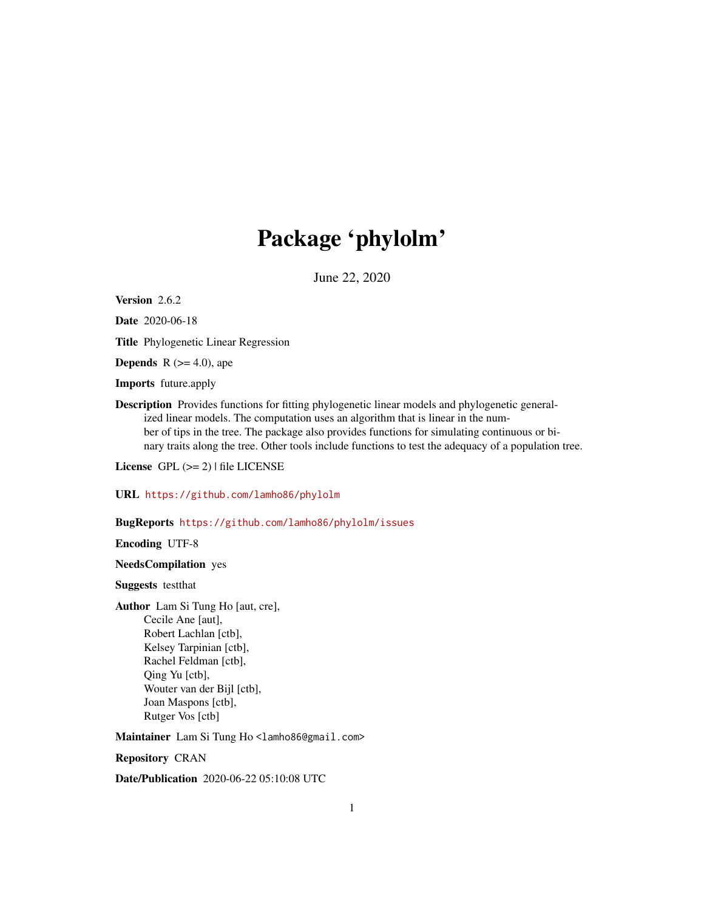## Package 'phylolm'

June 22, 2020

<span id="page-0-0"></span>Version 2.6.2

Date 2020-06-18

Title Phylogenetic Linear Regression

**Depends** R  $(>= 4.0)$ , ape

Imports future.apply

Description Provides functions for fitting phylogenetic linear models and phylogenetic generalized linear models. The computation uses an algorithm that is linear in the number of tips in the tree. The package also provides functions for simulating continuous or binary traits along the tree. Other tools include functions to test the adequacy of a population tree.

License GPL  $(>= 2)$  | file LICENSE

URL <https://github.com/lamho86/phylolm>

#### BugReports <https://github.com/lamho86/phylolm/issues>

Encoding UTF-8

#### NeedsCompilation yes

Suggests testthat

Author Lam Si Tung Ho [aut, cre], Cecile Ane [aut], Robert Lachlan [ctb], Kelsey Tarpinian [ctb], Rachel Feldman [ctb], Qing Yu [ctb], Wouter van der Bijl [ctb], Joan Maspons [ctb], Rutger Vos [ctb]

Maintainer Lam Si Tung Ho <lamho86@gmail.com>

Repository CRAN

Date/Publication 2020-06-22 05:10:08 UTC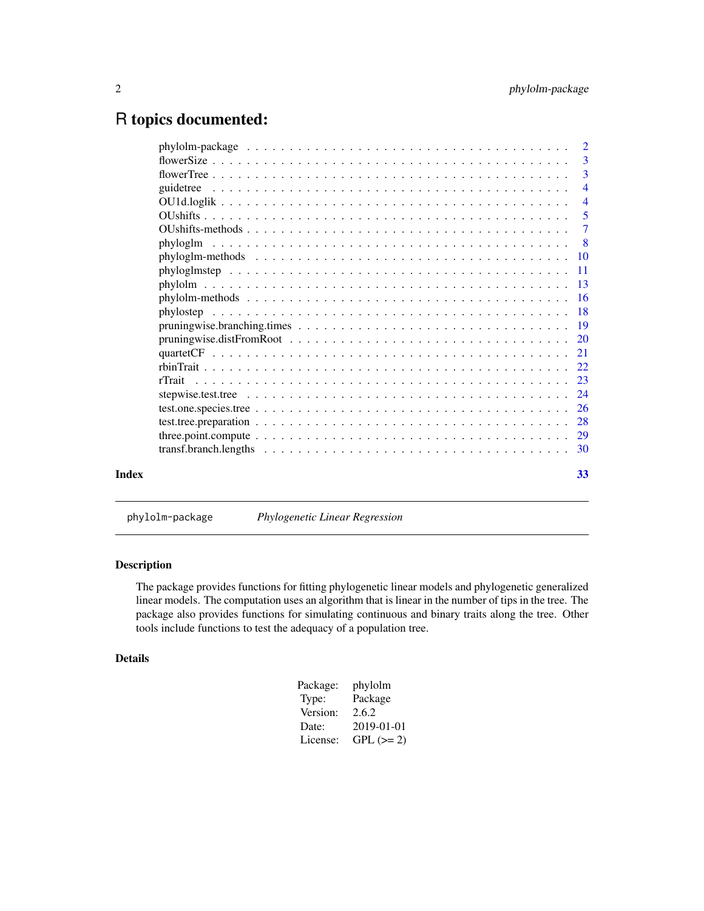### <span id="page-1-0"></span>R topics documented:

|       | $\overline{\phantom{a}3}$ |
|-------|---------------------------|
|       |                           |
|       | $\overline{4}$            |
|       | $\overline{4}$            |
|       | 5                         |
|       | $\overline{7}$            |
|       | $\overline{\phantom{0}}8$ |
|       |                           |
|       |                           |
|       |                           |
|       |                           |
|       |                           |
|       |                           |
|       |                           |
|       |                           |
|       |                           |
|       |                           |
|       |                           |
|       |                           |
|       |                           |
|       |                           |
|       |                           |
| Index | 33                        |
|       |                           |

phylolm-package *Phylogenetic Linear Regression*

#### Description

The package provides functions for fitting phylogenetic linear models and phylogenetic generalized linear models. The computation uses an algorithm that is linear in the number of tips in the tree. The package also provides functions for simulating continuous and binary traits along the tree. Other tools include functions to test the adequacy of a population tree.

#### Details

| Package: | phylolm     |
|----------|-------------|
| Type:    | Package     |
| Version: | 2.6.2       |
| Date:    | 2019-01-01  |
| License: | $GPL (= 2)$ |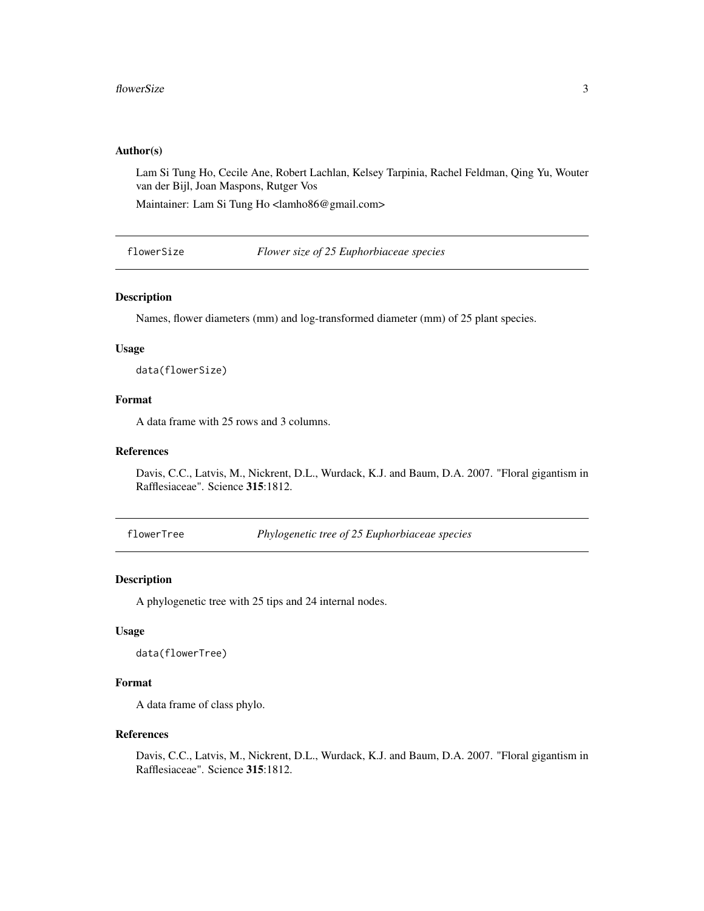#### <span id="page-2-0"></span>Author(s)

Lam Si Tung Ho, Cecile Ane, Robert Lachlan, Kelsey Tarpinia, Rachel Feldman, Qing Yu, Wouter van der Bijl, Joan Maspons, Rutger Vos

Maintainer: Lam Si Tung Ho <lamho86@gmail.com>

flowerSize *Flower size of 25 Euphorbiaceae species*

#### Description

Names, flower diameters (mm) and log-transformed diameter (mm) of 25 plant species.

#### Usage

data(flowerSize)

#### Format

A data frame with 25 rows and 3 columns.

#### References

Davis, C.C., Latvis, M., Nickrent, D.L., Wurdack, K.J. and Baum, D.A. 2007. "Floral gigantism in Rafflesiaceae". Science 315:1812.

flowerTree *Phylogenetic tree of 25 Euphorbiaceae species*

#### Description

A phylogenetic tree with 25 tips and 24 internal nodes.

#### Usage

data(flowerTree)

#### Format

A data frame of class phylo.

#### References

Davis, C.C., Latvis, M., Nickrent, D.L., Wurdack, K.J. and Baum, D.A. 2007. "Floral gigantism in Rafflesiaceae". Science 315:1812.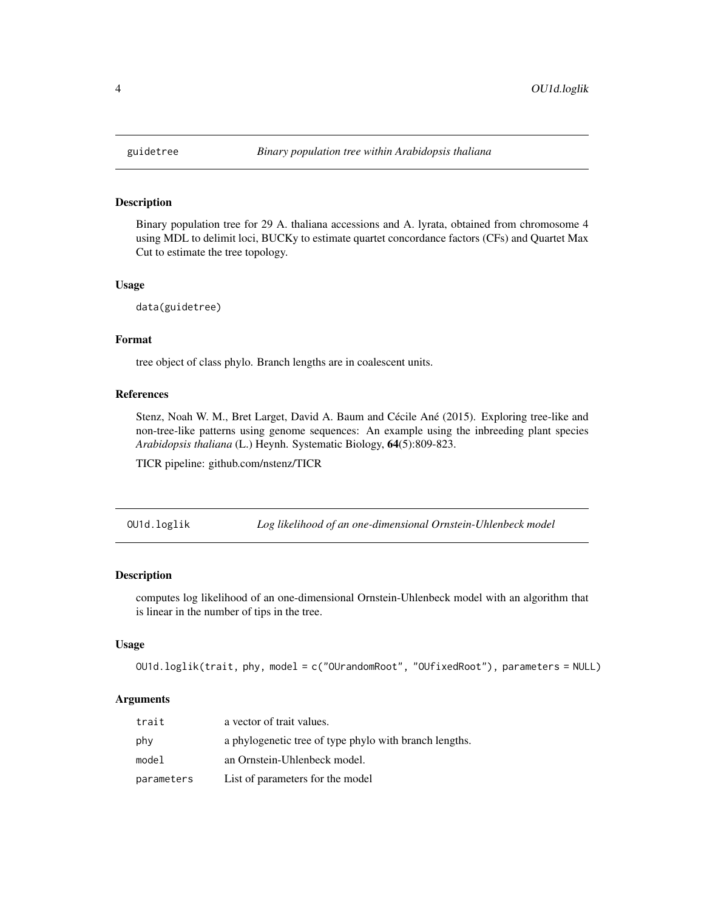#### Description

Binary population tree for 29 A. thaliana accessions and A. lyrata, obtained from chromosome 4 using MDL to delimit loci, BUCKy to estimate quartet concordance factors (CFs) and Quartet Max Cut to estimate the tree topology.

#### Usage

data(guidetree)

#### Format

tree object of class phylo. Branch lengths are in coalescent units.

#### References

Stenz, Noah W. M., Bret Larget, David A. Baum and Cécile Ané (2015). Exploring tree-like and non-tree-like patterns using genome sequences: An example using the inbreeding plant species *Arabidopsis thaliana* (L.) Heynh. Systematic Biology, 64(5):809-823.

TICR pipeline: github.com/nstenz/TICR

OU1d.loglik *Log likelihood of an one-dimensional Ornstein-Uhlenbeck model*

#### Description

computes log likelihood of an one-dimensional Ornstein-Uhlenbeck model with an algorithm that is linear in the number of tips in the tree.

#### Usage

```
OU1d.loglik(trait, phy, model = c("OUrandomRoot", "OUfixedRoot"), parameters = NULL)
```
#### Arguments

| trait      | a vector of trait values.                              |
|------------|--------------------------------------------------------|
| phy        | a phylogenetic tree of type phylo with branch lengths. |
| model      | an Ornstein-Uhlenbeck model.                           |
| parameters | List of parameters for the model                       |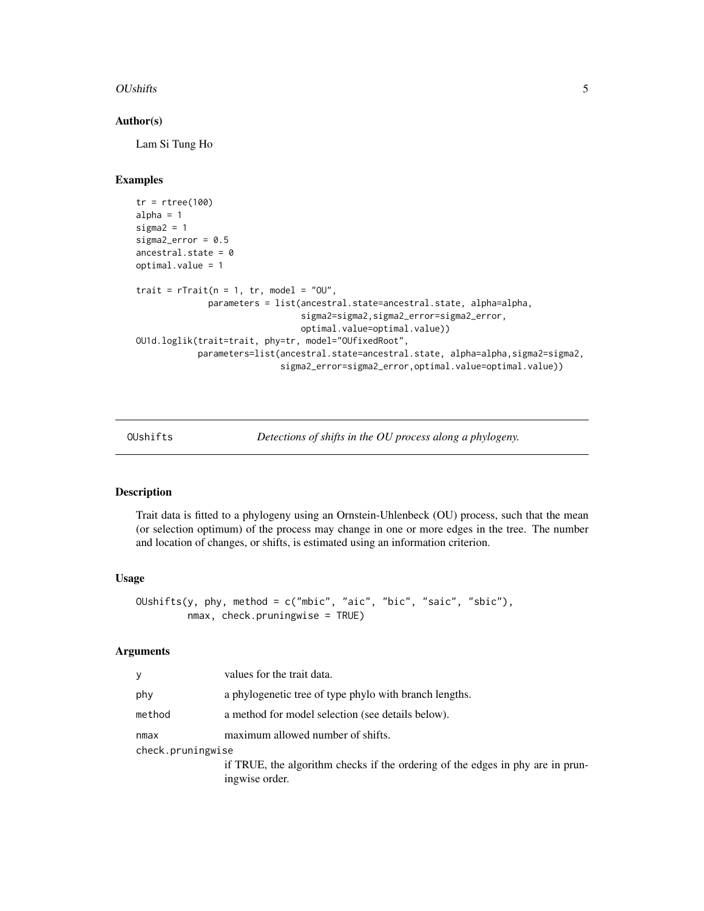#### <span id="page-4-0"></span>OUshifts 5

#### Author(s)

Lam Si Tung Ho

#### Examples

```
tr = rtree(100)
alpha = 1sigma2 = 1sigma2_error = 0.5ancestral.state = 0optimal.value = 1
trait = rTrain(n = 1, tr, model = "0U",parameters = list(ancestral.state=ancestral.state, alpha=alpha,
                                sigma2=sigma2,sigma2_error=sigma2_error,
                                optimal.value=optimal.value))
OU1d.loglik(trait=trait, phy=tr, model="OUfixedRoot",
            parameters=list(ancestral.state=ancestral.state, alpha=alpha,sigma2=sigma2,
                            sigma2_error=sigma2_error,optimal.value=optimal.value))
```
<span id="page-4-1"></span>OUshifts *Detections of shifts in the OU process along a phylogeny.*

#### Description

Trait data is fitted to a phylogeny using an Ornstein-Uhlenbeck (OU) process, such that the mean (or selection optimum) of the process may change in one or more edges in the tree. The number and location of changes, or shifts, is estimated using an information criterion.

#### Usage

```
OUshifts(y, phy, method = c("mbic", "aic", "bic", "saic", "sbic"),
        nmax, check.pruningwise = TRUE)
```
#### Arguments

| У                 | values for the trait data.                                                                       |
|-------------------|--------------------------------------------------------------------------------------------------|
| phy               | a phylogenetic tree of type phylo with branch lengths.                                           |
| method            | a method for model selection (see details below).                                                |
| nmax              | maximum allowed number of shifts.                                                                |
| check.pruningwise |                                                                                                  |
|                   | if TRUE, the algorithm checks if the ordering of the edges in phy are in prun-<br>ingwise order. |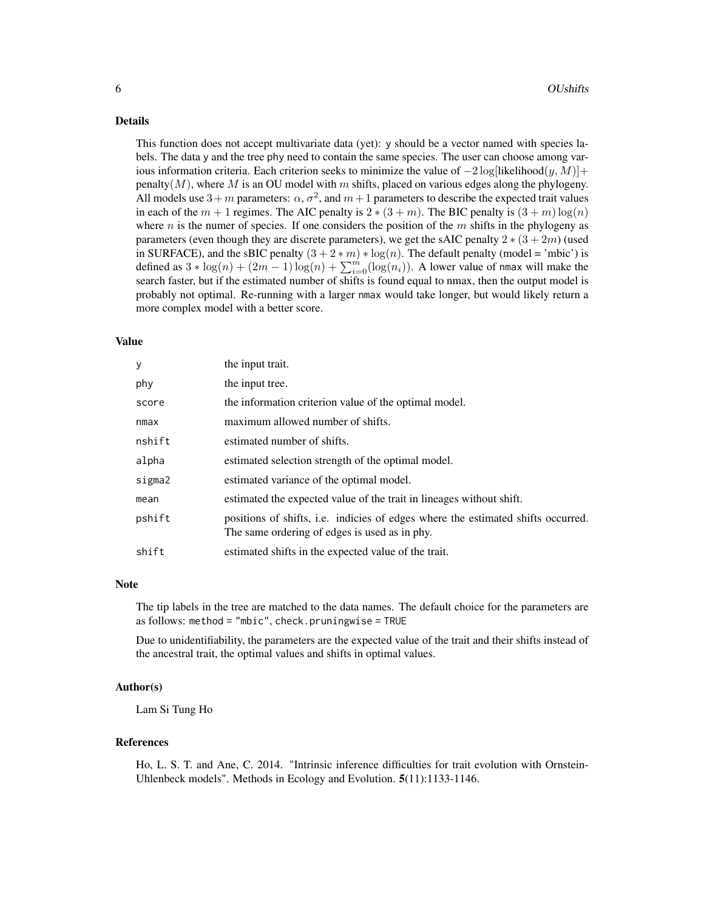#### Details

This function does not accept multivariate data (yet): y should be a vector named with species labels. The data y and the tree phy need to contain the same species. The user can choose among various information criteria. Each criterion seeks to minimize the value of  $-2 \log[\text{likelihood}(y, M)] +$ penalty( $M$ ), where M is an OU model with m shifts, placed on various edges along the phylogeny. All models use  $3 + m$  parameters:  $\alpha$ ,  $\sigma^2$ , and  $m + 1$  parameters to describe the expected trait values in each of the  $m + 1$  regimes. The AIC penalty is  $2 * (3 + m)$ . The BIC penalty is  $(3 + m) \log(n)$ where  $n$  is the numer of species. If one considers the position of the  $m$  shifts in the phylogeny as parameters (even though they are discrete parameters), we get the sAIC penalty  $2*(3+2m)$  (used in SURFACE), and the sBIC penalty  $(3 + 2 * m) * log(n)$ . The default penalty (model = 'mbic') is defined as  $3 * log(n) + (2m - 1) log(n) + \sum_{i=0}^{m} (log(n_i))$ . A lower value of nmax will make the search faster, but if the estimated number of shifts is found equal to nmax, then the output model is probably not optimal. Re-running with a larger nmax would take longer, but would likely return a more complex model with a better score.

#### Value

| у      | the input trait.                                                                                                                  |
|--------|-----------------------------------------------------------------------------------------------------------------------------------|
| phy    | the input tree.                                                                                                                   |
| score  | the information criterion value of the optimal model.                                                                             |
| nmax   | maximum allowed number of shifts.                                                                                                 |
| nshift | estimated number of shifts.                                                                                                       |
| alpha  | estimated selection strength of the optimal model.                                                                                |
| sigma2 | estimated variance of the optimal model.                                                                                          |
| mean   | estimated the expected value of the trait in lineages without shift.                                                              |
| pshift | positions of shifts, i.e. indicies of edges where the estimated shifts occurred.<br>The same ordering of edges is used as in phy. |
| shift  | estimated shifts in the expected value of the trait.                                                                              |

#### Note

The tip labels in the tree are matched to the data names. The default choice for the parameters are as follows: method = "mbic", check.pruningwise = TRUE

Due to unidentifiability, the parameters are the expected value of the trait and their shifts instead of the ancestral trait, the optimal values and shifts in optimal values.

#### Author(s)

Lam Si Tung Ho

#### References

Ho, L. S. T. and Ane, C. 2014. "Intrinsic inference difficulties for trait evolution with Ornstein-Uhlenbeck models". Methods in Ecology and Evolution. 5(11):1133-1146.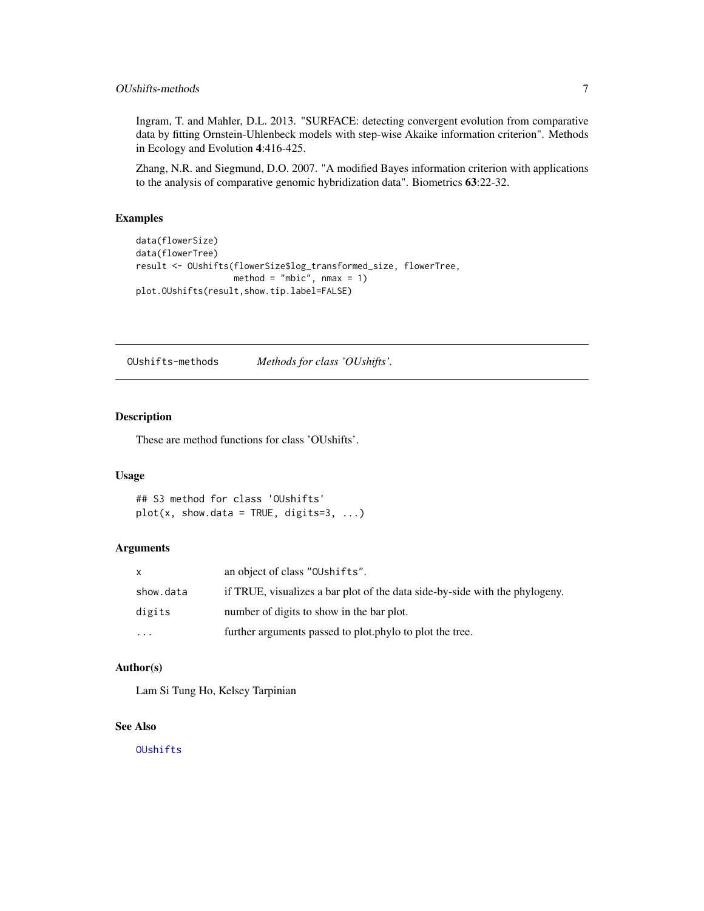#### <span id="page-6-0"></span>OUshifts-methods 7

Ingram, T. and Mahler, D.L. 2013. "SURFACE: detecting convergent evolution from comparative data by fitting Ornstein-Uhlenbeck models with step-wise Akaike information criterion". Methods in Ecology and Evolution 4:416-425.

Zhang, N.R. and Siegmund, D.O. 2007. "A modified Bayes information criterion with applications to the analysis of comparative genomic hybridization data". Biometrics 63:22-32.

#### Examples

```
data(flowerSize)
data(flowerTree)
result <- OUshifts(flowerSize$log_transformed_size, flowerTree,
                  method = "mbic", nmax = 1)
plot.OUshifts(result,show.tip.label=FALSE)
```
OUshifts-methods *Methods for class 'OUshifts'.*

#### Description

These are method functions for class 'OUshifts'.

#### Usage

```
## S3 method for class 'OUshifts'
plot(x, show.data = TRUE, digits=3, ...)
```
#### Arguments

| X         | an object of class "OUshifts".                                              |
|-----------|-----------------------------------------------------------------------------|
| show.data | if TRUE, visualizes a bar plot of the data side-by-side with the phylogeny. |
| digits    | number of digits to show in the bar plot.                                   |
| $\cdots$  | further arguments passed to plot.phylo to plot the tree.                    |

#### Author(s)

Lam Si Tung Ho, Kelsey Tarpinian

#### See Also

[OUshifts](#page-4-1)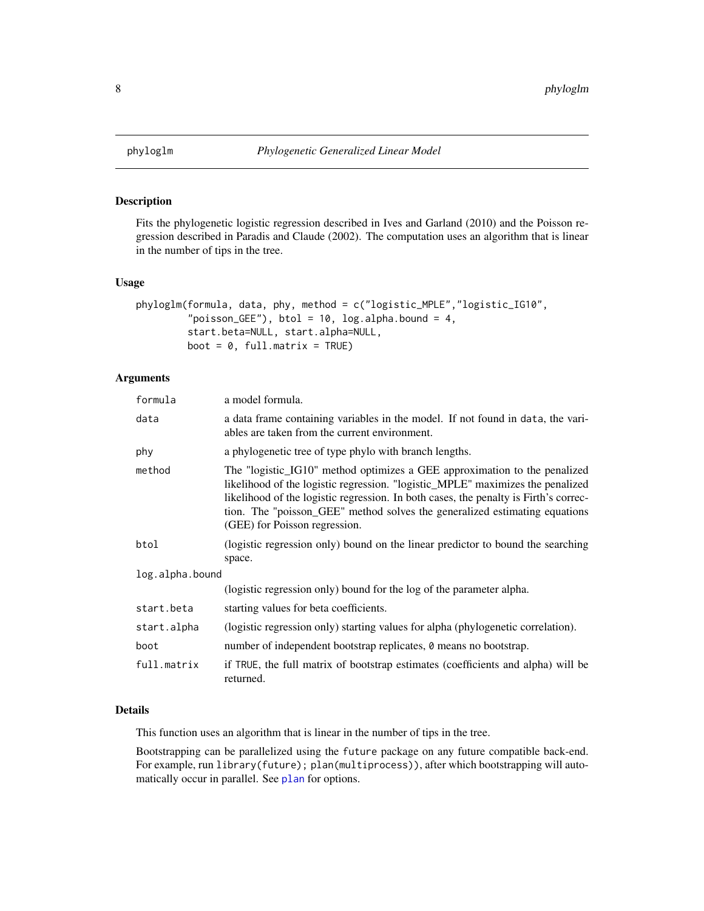<span id="page-7-1"></span><span id="page-7-0"></span>

#### Description

Fits the phylogenetic logistic regression described in Ives and Garland (2010) and the Poisson regression described in Paradis and Claude (2002). The computation uses an algorithm that is linear in the number of tips in the tree.

#### Usage

```
phyloglm(formula, data, phy, method = c("logistic_MPLE","logistic_IG10",
         "poisson_GEE"), btol = 10, log.alpha.bound = 4,
         start.beta=NULL, start.alpha=NULL,
         boot = 0, full.matrix = TRUE)
```
#### Arguments

| formula         | a model formula.                                                                                                                                                                                                                                                                                                                                                   |
|-----------------|--------------------------------------------------------------------------------------------------------------------------------------------------------------------------------------------------------------------------------------------------------------------------------------------------------------------------------------------------------------------|
| data            | a data frame containing variables in the model. If not found in data, the vari-<br>ables are taken from the current environment.                                                                                                                                                                                                                                   |
| phy             | a phylogenetic tree of type phylo with branch lengths.                                                                                                                                                                                                                                                                                                             |
| method          | The "logistic_IG10" method optimizes a GEE approximation to the penalized<br>likelihood of the logistic regression. "logistic_MPLE" maximizes the penalized<br>likelihood of the logistic regression. In both cases, the penalty is Firth's correc-<br>tion. The "poisson_GEE" method solves the generalized estimating equations<br>(GEE) for Poisson regression. |
| btol            | (logistic regression only) bound on the linear predictor to bound the searching<br>space.                                                                                                                                                                                                                                                                          |
| log.alpha.bound |                                                                                                                                                                                                                                                                                                                                                                    |
|                 | (logistic regression only) bound for the log of the parameter alpha.                                                                                                                                                                                                                                                                                               |
| start.beta      | starting values for beta coefficients.                                                                                                                                                                                                                                                                                                                             |
| start.alpha     | (logistic regression only) starting values for alpha (phylogenetic correlation).                                                                                                                                                                                                                                                                                   |
| boot            | number of independent bootstrap replicates, $\theta$ means no bootstrap.                                                                                                                                                                                                                                                                                           |
| full.matrix     | if TRUE, the full matrix of bootstrap estimates (coefficients and alpha) will be<br>returned.                                                                                                                                                                                                                                                                      |

#### Details

This function uses an algorithm that is linear in the number of tips in the tree.

Bootstrapping can be parallelized using the future package on any future compatible back-end. For example, run library(future); plan(multiprocess)), after which bootstrapping will automatically occur in parallel. See [plan](#page-0-0) for options.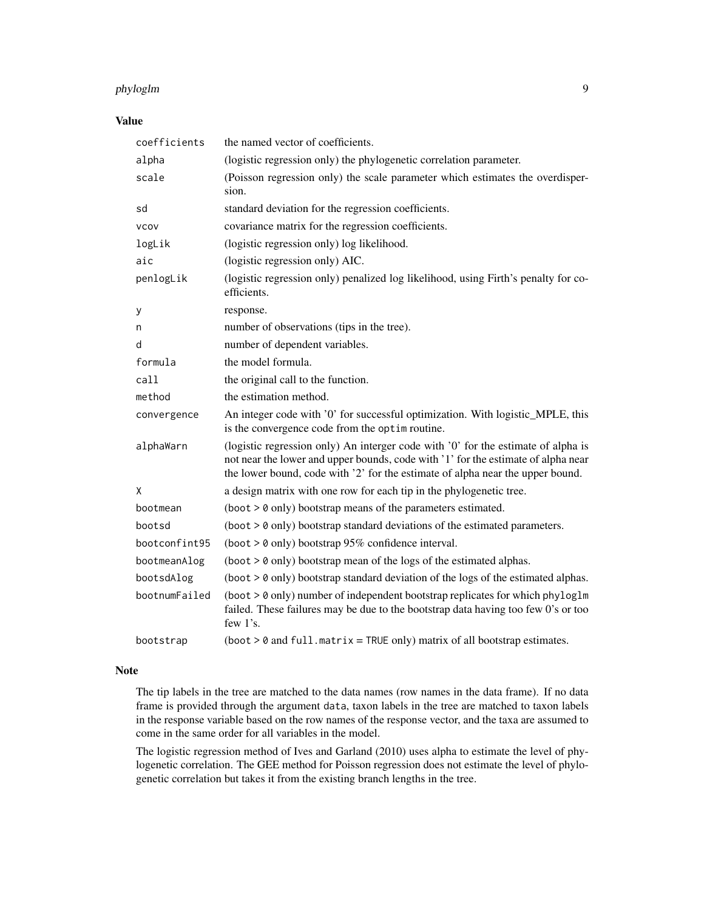#### phyloglm 9

#### Value

| coefficients  | the named vector of coefficients.                                                                                                                                                                                                                        |
|---------------|----------------------------------------------------------------------------------------------------------------------------------------------------------------------------------------------------------------------------------------------------------|
| alpha         | (logistic regression only) the phylogenetic correlation parameter.                                                                                                                                                                                       |
| scale         | (Poisson regression only) the scale parameter which estimates the overdisper-<br>sion.                                                                                                                                                                   |
| sd            | standard deviation for the regression coefficients.                                                                                                                                                                                                      |
| <b>VCOV</b>   | covariance matrix for the regression coefficients.                                                                                                                                                                                                       |
| logLik        | (logistic regression only) log likelihood.                                                                                                                                                                                                               |
| aic           | (logistic regression only) AIC.                                                                                                                                                                                                                          |
| penlogLik     | (logistic regression only) penalized log likelihood, using Firth's penalty for co-<br>efficients.                                                                                                                                                        |
| у             | response.                                                                                                                                                                                                                                                |
| n             | number of observations (tips in the tree).                                                                                                                                                                                                               |
| d             | number of dependent variables.                                                                                                                                                                                                                           |
| formula       | the model formula.                                                                                                                                                                                                                                       |
| call          | the original call to the function.                                                                                                                                                                                                                       |
| method        | the estimation method.                                                                                                                                                                                                                                   |
| convergence   | An integer code with '0' for successful optimization. With logistic_MPLE, this<br>is the convergence code from the optim routine.                                                                                                                        |
| alphaWarn     | (logistic regression only) An interger code with '0' for the estimate of alpha is<br>not near the lower and upper bounds, code with '1' for the estimate of alpha near<br>the lower bound, code with '2' for the estimate of alpha near the upper bound. |
| X             | a design matrix with one row for each tip in the phylogenetic tree.                                                                                                                                                                                      |
| bootmean      | (boot > 0 only) bootstrap means of the parameters estimated.                                                                                                                                                                                             |
| bootsd        | $(boot > 0$ only) bootstrap standard deviations of the estimated parameters.                                                                                                                                                                             |
| bootconfint95 | (boot $> 0$ only) bootstrap 95% confidence interval.                                                                                                                                                                                                     |
| bootmeanAlog  | $(boot > 0$ only) bootstrap mean of the logs of the estimated alphas.                                                                                                                                                                                    |
| bootsdAlog    | $(boot > 0$ only) bootstrap standard deviation of the logs of the estimated alphas.                                                                                                                                                                      |
| bootnumFailed | $(boot > 0$ only) number of independent bootstrap replicates for which phyloglm<br>failed. These failures may be due to the bootstrap data having too few 0's or too<br>few $1$ 's.                                                                      |
| bootstrap     | $(boot > 0$ and $full.matrix = TRUE only)$ matrix of all bootstrap estimates.                                                                                                                                                                            |

#### Note

The tip labels in the tree are matched to the data names (row names in the data frame). If no data frame is provided through the argument data, taxon labels in the tree are matched to taxon labels in the response variable based on the row names of the response vector, and the taxa are assumed to come in the same order for all variables in the model.

The logistic regression method of Ives and Garland (2010) uses alpha to estimate the level of phylogenetic correlation. The GEE method for Poisson regression does not estimate the level of phylogenetic correlation but takes it from the existing branch lengths in the tree.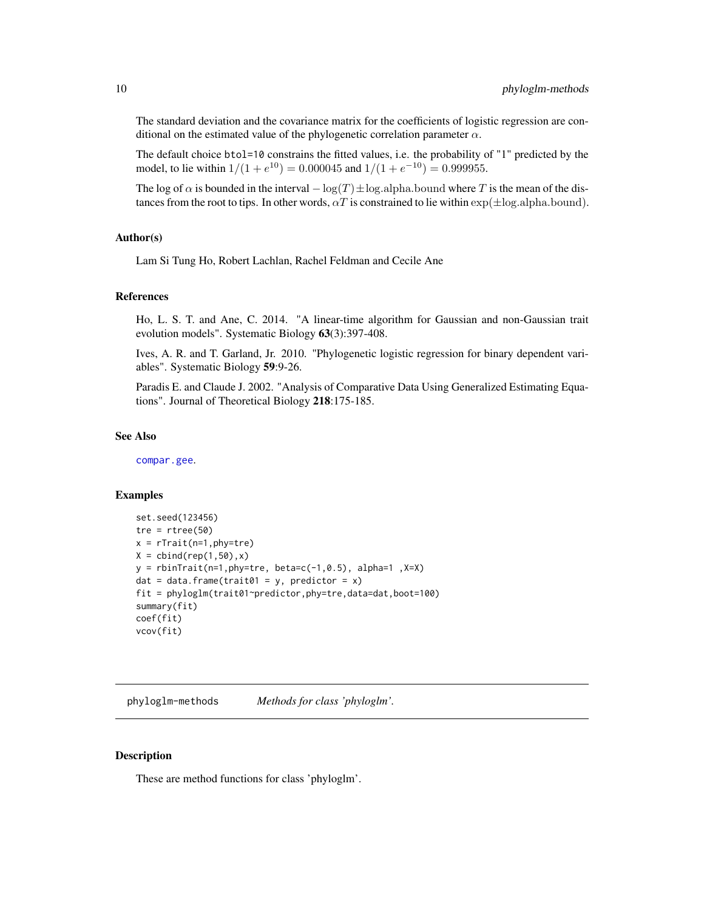<span id="page-9-0"></span>The standard deviation and the covariance matrix for the coefficients of logistic regression are conditional on the estimated value of the phylogenetic correlation parameter  $\alpha$ .

The default choice btol=10 constrains the fitted values, i.e. the probability of "1" predicted by the model, to lie within  $1/(1 + e^{10}) = 0.000045$  and  $1/(1 + e^{-10}) = 0.999955$ .

The log of  $\alpha$  is bounded in the interval  $-\log(T) \pm \log(\alpha)$  alpha.bound where T is the mean of the distances from the root to tips. In other words,  $\alpha T$  is constrained to lie within  $\exp(\pm \log \alpha)$  alpha.bound).

#### Author(s)

Lam Si Tung Ho, Robert Lachlan, Rachel Feldman and Cecile Ane

#### References

Ho, L. S. T. and Ane, C. 2014. "A linear-time algorithm for Gaussian and non-Gaussian trait evolution models". Systematic Biology 63(3):397-408.

Ives, A. R. and T. Garland, Jr. 2010. "Phylogenetic logistic regression for binary dependent variables". Systematic Biology 59:9-26.

Paradis E. and Claude J. 2002. "Analysis of Comparative Data Using Generalized Estimating Equations". Journal of Theoretical Biology 218:175-185.

#### See Also

[compar.gee](#page-0-0).

#### Examples

```
set.seed(123456)
tre = rtree(50)x = rTrain(n=1, phy=tre)X = \text{cbind}(\text{rep}(1, 50), x)y = \text{rbinTrain}(n=1, phy=tre, beta=c(-1, 0.5), alpha=1, X=X)dat = data.frame(trait01 = y, predictor = x)
fit = phyloglm(trait01~predictor,phy=tre,data=dat,boot=100)
summary(fit)
coef(fit)
vcov(fit)
```
phyloglm-methods *Methods for class 'phyloglm'.*

#### **Description**

These are method functions for class 'phyloglm'.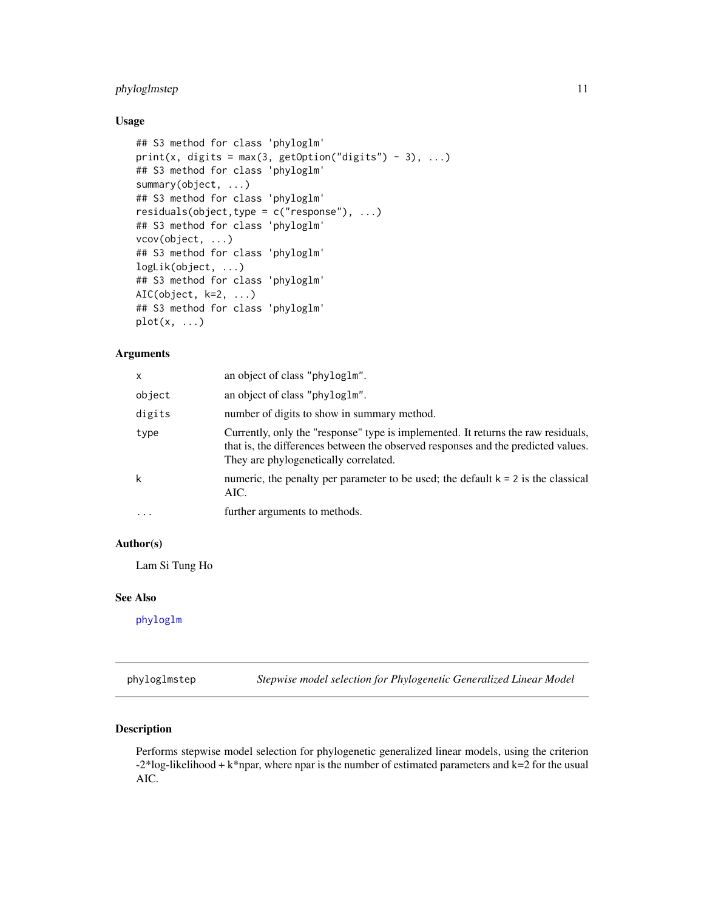#### <span id="page-10-0"></span>phyloglmstep 11

#### Usage

```
## S3 method for class 'phyloglm'
print(x, digits = max(3, getOption("digits") - 3), ...)## S3 method for class 'phyloglm'
summary(object, ...)
## S3 method for class 'phyloglm'
residuals(object,type = c("response"), ...)
## S3 method for class 'phyloglm'
vcov(object, ...)
## S3 method for class 'phyloglm'
logLik(object, ...)
## S3 method for class 'phyloglm'
AIC(object, k=2, ...)
## S3 method for class 'phyloglm'
plot(x, \ldots)
```
#### Arguments

| x         | an object of class "phyloglm".                                                                                                                                                                                  |
|-----------|-----------------------------------------------------------------------------------------------------------------------------------------------------------------------------------------------------------------|
| object    | an object of class "phyloglm".                                                                                                                                                                                  |
| digits    | number of digits to show in summary method.                                                                                                                                                                     |
| type      | Currently, only the "response" type is implemented. It returns the raw residuals,<br>that is, the differences between the observed responses and the predicted values.<br>They are phylogenetically correlated. |
| k         | numeric, the penalty per parameter to be used; the default $k = 2$ is the classical<br>AIC.                                                                                                                     |
| $\ddotsc$ | further arguments to methods.                                                                                                                                                                                   |

#### Author(s)

Lam Si Tung Ho

#### See Also

[phyloglm](#page-7-1)

phyloglmstep *Stepwise model selection for Phylogenetic Generalized Linear Model*

#### Description

Performs stepwise model selection for phylogenetic generalized linear models, using the criterion  $-2*log-likelihood + k*npar$ , where npar is the number of estimated parameters and k=2 for the usual AIC.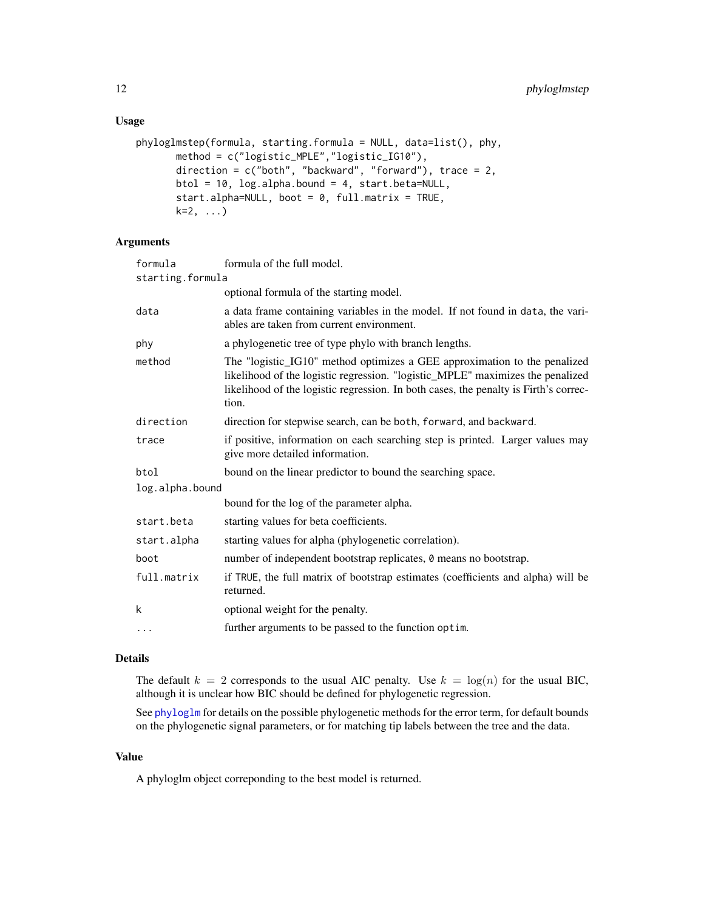#### Usage

```
phyloglmstep(formula, starting.formula = NULL, data=list(), phy,
       method = c("logistic_MPLE","logistic_IG10"),
       direction = c("both", "backward", "forward"), trace = 2,
       btol = 10, log.alpha.bound = 4, start.beta=NULL,
       start.alpha=NULL, boot = 0, full.matrix = TRUE,
       k=2, \ldots)
```
#### Arguments

| formula          | formula of the full model.                                                                                                                                                                                                                                   |  |
|------------------|--------------------------------------------------------------------------------------------------------------------------------------------------------------------------------------------------------------------------------------------------------------|--|
| starting.formula |                                                                                                                                                                                                                                                              |  |
|                  | optional formula of the starting model.                                                                                                                                                                                                                      |  |
| data             | a data frame containing variables in the model. If not found in data, the vari-<br>ables are taken from current environment.                                                                                                                                 |  |
| phy              | a phylogenetic tree of type phylo with branch lengths.                                                                                                                                                                                                       |  |
| method           | The "logistic_IG10" method optimizes a GEE approximation to the penalized<br>likelihood of the logistic regression. "logistic_MPLE" maximizes the penalized<br>likelihood of the logistic regression. In both cases, the penalty is Firth's correc-<br>tion. |  |
| direction        | direction for stepwise search, can be both, forward, and backward.                                                                                                                                                                                           |  |
| trace            | if positive, information on each searching step is printed. Larger values may<br>give more detailed information.                                                                                                                                             |  |
| btol             | bound on the linear predictor to bound the searching space.                                                                                                                                                                                                  |  |
| log.alpha.bound  |                                                                                                                                                                                                                                                              |  |
|                  | bound for the log of the parameter alpha.                                                                                                                                                                                                                    |  |
| start.beta       | starting values for beta coefficients.                                                                                                                                                                                                                       |  |
| start.alpha      | starting values for alpha (phylogenetic correlation).                                                                                                                                                                                                        |  |
| boot             | number of independent bootstrap replicates, 0 means no bootstrap.                                                                                                                                                                                            |  |
| full.matrix      | if TRUE, the full matrix of bootstrap estimates (coefficients and alpha) will be<br>returned.                                                                                                                                                                |  |
| k                | optional weight for the penalty.                                                                                                                                                                                                                             |  |
| .                | further arguments to be passed to the function optim.                                                                                                                                                                                                        |  |

#### Details

The default  $k = 2$  corresponds to the usual AIC penalty. Use  $k = \log(n)$  for the usual BIC, although it is unclear how BIC should be defined for phylogenetic regression.

See [phyloglm](#page-7-1) for details on the possible phylogenetic methods for the error term, for default bounds on the phylogenetic signal parameters, or for matching tip labels between the tree and the data.

#### Value

A phyloglm object correponding to the best model is returned.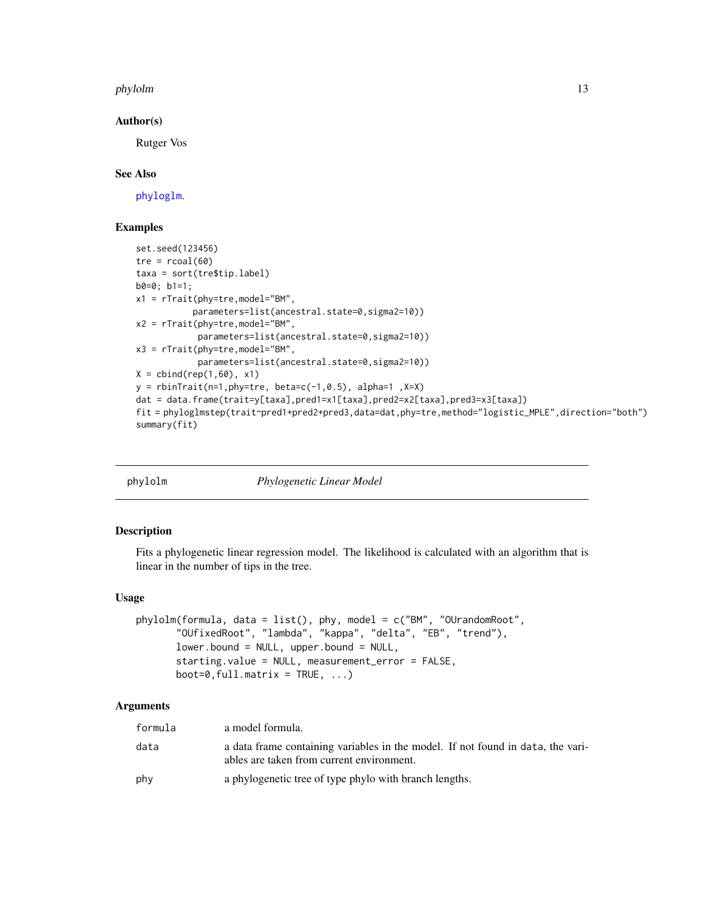#### <span id="page-12-0"></span>phylolm 13

#### Author(s)

Rutger Vos

#### See Also

[phyloglm](#page-7-1).

#### Examples

```
set.seed(123456)
tre = rcoal(60)taxa = sort(tre$tip.label)
b0=0; b1=1;
x1 = rTrait(phy=tre,model="BM",
           parameters=list(ancestral.state=0,sigma2=10))
x2 = rTrain(phys-tree, model="BM",parameters=list(ancestral.state=0,sigma2=10))
x3 = rTrait(phy=tre,model="BM",
            parameters=list(ancestral.state=0,sigma2=10))
X = \text{cbind}(\text{rep}(1, 60), x1)y = rbinTrait(n=1,phy=tre, beta=c(-1,0.5), alpha=1,X=X)
dat = data.frame(trait=y[taxa],pred1=x1[taxa],pred2=x2[taxa],pred3=x3[taxa])
fit = phyloglmstep(trait~pred1+pred2+pred3,data=dat,phy=tre,method="logistic_MPLE",direction="both")
summary(fit)
```
phylolm *Phylogenetic Linear Model*

#### Description

Fits a phylogenetic linear regression model. The likelihood is calculated with an algorithm that is linear in the number of tips in the tree.

#### Usage

```
phylolm(formula, data = list(), phy, model = c("BM", "OUrandomRoot",
       "OUfixedRoot", "lambda", "kappa", "delta", "EB", "trend"),
       lower.bound = NULL, upper.bound = NULL,starting.value = NULL, measurement_error = FALSE,
       boot=0, full.matrix = TRUE, ...)
```
#### Arguments

| formula | a model formula.                                                                                                             |
|---------|------------------------------------------------------------------------------------------------------------------------------|
| data    | a data frame containing variables in the model. If not found in data, the vari-<br>ables are taken from current environment. |
| phy     | a phylogenetic tree of type phylo with branch lengths.                                                                       |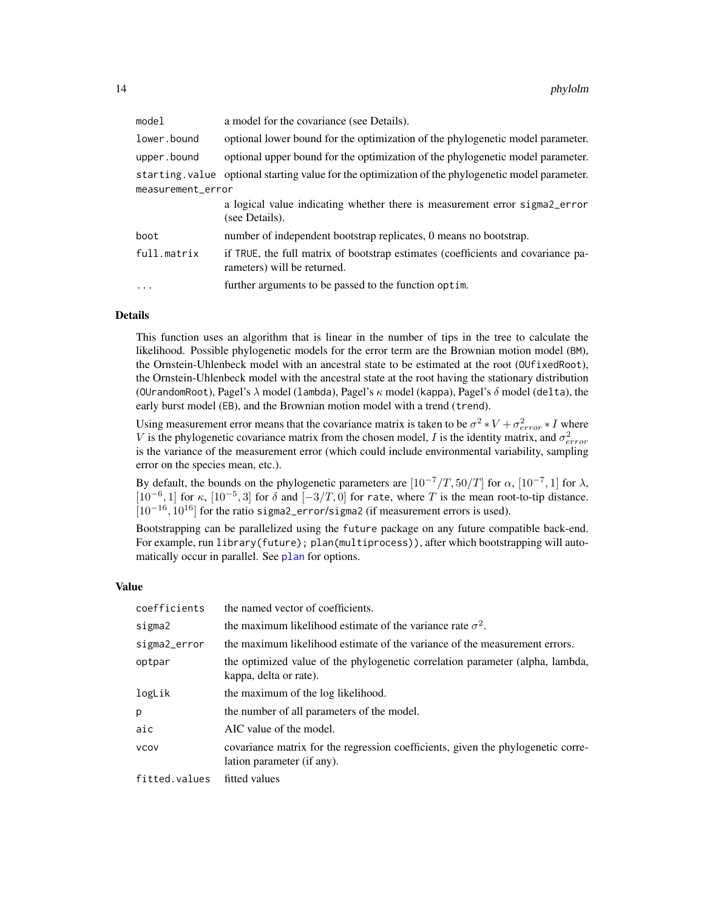<span id="page-13-0"></span>

| model             | a model for the covariance (see Details).                                                                       |  |
|-------------------|-----------------------------------------------------------------------------------------------------------------|--|
| lower.bound       | optional lower bound for the optimization of the phylogenetic model parameter.                                  |  |
| upper.bound       | optional upper bound for the optimization of the phylogenetic model parameter.                                  |  |
|                   | starting. value optional starting value for the optimization of the phylogenetic model parameter.               |  |
| measurement_error |                                                                                                                 |  |
|                   | a logical value indicating whether there is measurement error sigmal error<br>(see Details).                    |  |
| boot              | number of independent bootstrap replicates, 0 means no bootstrap.                                               |  |
| full.matrix       | if TRUE, the full matrix of bootstrap estimates (coefficients and covariance pa-<br>rameters) will be returned. |  |
| $\ddots$ .        | further arguments to be passed to the function optim.                                                           |  |

#### Details

This function uses an algorithm that is linear in the number of tips in the tree to calculate the likelihood. Possible phylogenetic models for the error term are the Brownian motion model (BM), the Ornstein-Uhlenbeck model with an ancestral state to be estimated at the root (OUfixedRoot), the Ornstein-Uhlenbeck model with the ancestral state at the root having the stationary distribution (OUrandomRoot), Pagel's  $\lambda$  model (lambda), Pagel's  $\kappa$  model (kappa), Pagel's  $\delta$  model (delta), the early burst model (EB), and the Brownian motion model with a trend (trend).

Using measurement error means that the covariance matrix is taken to be  $\sigma^2 * V + \sigma_{error}^2 * I$  where V is the phylogenetic covariance matrix from the chosen model, I is the identity matrix, and  $\sigma_{error}^2$ is the variance of the measurement error (which could include environmental variability, sampling error on the species mean, etc.).

By default, the bounds on the phylogenetic parameters are  $[10^{-7}/T, 50/T]$  for  $\alpha$ ,  $[10^{-7}, 1]$  for  $\lambda$ , [10<sup>-6</sup>, 1] for  $\kappa$ , [10<sup>-5</sup>, 3] for  $\delta$  and [-3/T, 0] for rate, where T is the mean root-to-tip distance.  $[10^{-16}, 10^{16}]$  for the ratio sigma2\_error/sigma2 (if measurement errors is used).

Bootstrapping can be parallelized using the future package on any future compatible back-end. For example, run library(future); plan(multiprocess)), after which bootstrapping will automatically occur in parallel. See [plan](#page-0-0) for options.

#### Value

| coefficients  | the named vector of coefficients.                                                                              |
|---------------|----------------------------------------------------------------------------------------------------------------|
| sigma2        | the maximum likelihood estimate of the variance rate $\sigma^2$ .                                              |
| sigma2_error  | the maximum likelihood estimate of the variance of the measurement errors.                                     |
| optpar        | the optimized value of the phylogenetic correlation parameter (alpha, lambda,<br>kappa, delta or rate).        |
| logLik        | the maximum of the log likelihood.                                                                             |
| p             | the number of all parameters of the model.                                                                     |
| aic           | AIC value of the model.                                                                                        |
| <b>VCOV</b>   | covariance matrix for the regression coefficients, given the phylogenetic corre-<br>lation parameter (if any). |
| Fittad values | fitted values                                                                                                  |

fitted.values fitted values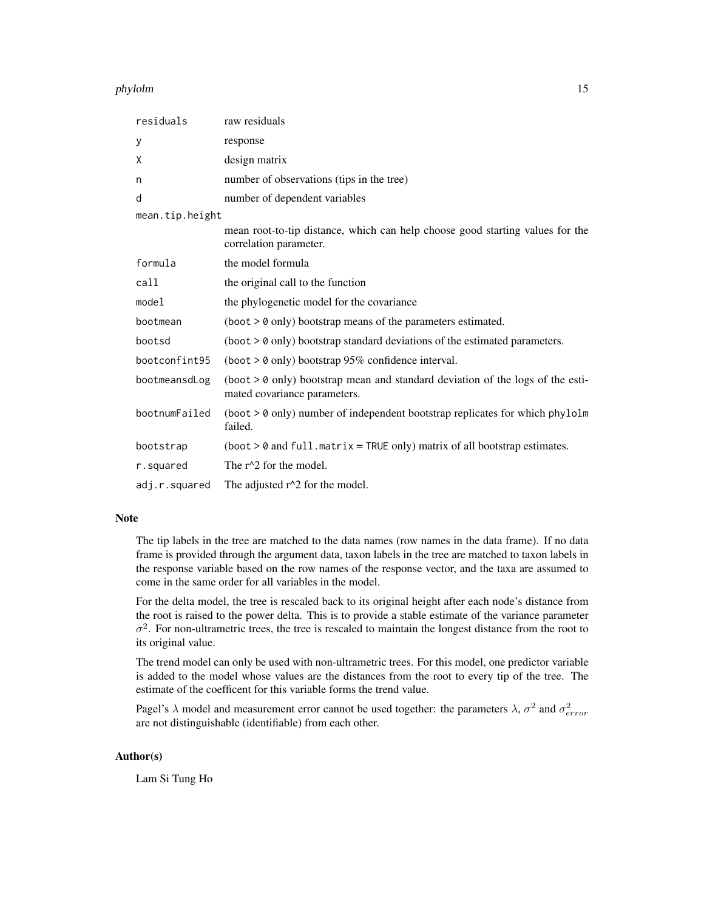#### phylolm 15

| residuals       | raw residuals                                                                                                    |
|-----------------|------------------------------------------------------------------------------------------------------------------|
| у               | response                                                                                                         |
| X               | design matrix                                                                                                    |
| n               | number of observations (tips in the tree)                                                                        |
| d               | number of dependent variables                                                                                    |
| mean.tip.height |                                                                                                                  |
|                 | mean root-to-tip distance, which can help choose good starting values for the<br>correlation parameter.          |
| formula         | the model formula                                                                                                |
| call            | the original call to the function                                                                                |
| model           | the phylogenetic model for the covariance                                                                        |
| bootmean        | $(boot > 0$ only) bootstrap means of the parameters estimated.                                                   |
| bootsd          | $(boot > 0$ only) bootstrap standard deviations of the estimated parameters.                                     |
| bootconfint95   | (boot $> 0$ only) bootstrap 95% confidence interval.                                                             |
| bootmeansdLog   | (boot $> 0$ only) bootstrap mean and standard deviation of the logs of the esti-<br>mated covariance parameters. |
| bootnumFailed   | $(boot > 0$ only) number of independent bootstrap replicates for which phylolm<br>failed.                        |
| bootstrap       | $(boot > 0$ and full.matrix = TRUE only) matrix of all bootstrap estimates.                                      |
| r.squared       | The $r^2$ for the model.                                                                                         |
| adj.r.squared   | The adjusted $r^2$ for the model.                                                                                |

#### Note

The tip labels in the tree are matched to the data names (row names in the data frame). If no data frame is provided through the argument data, taxon labels in the tree are matched to taxon labels in the response variable based on the row names of the response vector, and the taxa are assumed to come in the same order for all variables in the model.

For the delta model, the tree is rescaled back to its original height after each node's distance from the root is raised to the power delta. This is to provide a stable estimate of the variance parameter  $\sigma^2$ . For non-ultrametric trees, the tree is rescaled to maintain the longest distance from the root to its original value.

The trend model can only be used with non-ultrametric trees. For this model, one predictor variable is added to the model whose values are the distances from the root to every tip of the tree. The estimate of the coefficent for this variable forms the trend value.

Pagel's  $\lambda$  model and measurement error cannot be used together: the parameters  $\lambda$ ,  $\sigma^2$  and  $\sigma_{error}^2$ are not distinguishable (identifiable) from each other.

#### Author(s)

Lam Si Tung Ho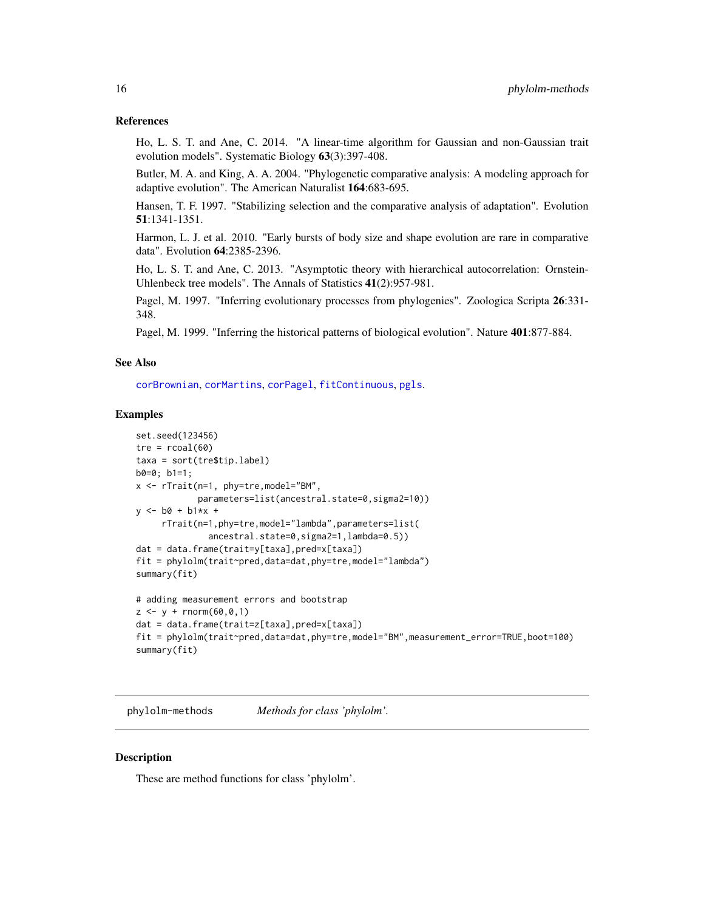#### <span id="page-15-0"></span>References

Ho, L. S. T. and Ane, C. 2014. "A linear-time algorithm for Gaussian and non-Gaussian trait evolution models". Systematic Biology 63(3):397-408.

Butler, M. A. and King, A. A. 2004. "Phylogenetic comparative analysis: A modeling approach for adaptive evolution". The American Naturalist 164:683-695.

Hansen, T. F. 1997. "Stabilizing selection and the comparative analysis of adaptation". Evolution 51:1341-1351.

Harmon, L. J. et al. 2010. "Early bursts of body size and shape evolution are rare in comparative data". Evolution 64:2385-2396.

Ho, L. S. T. and Ane, C. 2013. "Asymptotic theory with hierarchical autocorrelation: Ornstein-Uhlenbeck tree models". The Annals of Statistics 41(2):957-981.

Pagel, M. 1997. "Inferring evolutionary processes from phylogenies". Zoologica Scripta 26:331-348.

Pagel, M. 1999. "Inferring the historical patterns of biological evolution". Nature 401:877-884.

#### See Also

[corBrownian](#page-0-0), [corMartins](#page-0-0), [corPagel](#page-0-0), [fitContinuous](#page-0-0), [pgls](#page-0-0).

#### Examples

```
set.seed(123456)
tre = rcoal(60)taxa = sort(tre$tip.label)
b0=0; b1=1;
x <- rTrait(n=1, phy=tre,model="BM",
            parameters=list(ancestral.state=0,sigma2=10))
y \le -b0 + b1*x +rTrait(n=1,phy=tre,model="lambda",parameters=list(
              ancestral.state=0,sigma2=1,lambda=0.5))
dat = data.frame(trait=y[taxa],pred=x[taxa])
fit = phylolm(trait~pred,data=dat,phy=tre,model="lambda")
summary(fit)
# adding measurement errors and bootstrap
z \le -y + \text{rnorm}(60, 0, 1)
```

```
dat = data.frame(trait=z[taxa],pred=x[taxa])
fit = phylolm(trait~pred,data=dat,phy=tre,model="BM",measurement_error=TRUE,boot=100)
summary(fit)
```
phylolm-methods *Methods for class 'phylolm'.*

#### **Description**

These are method functions for class 'phylolm'.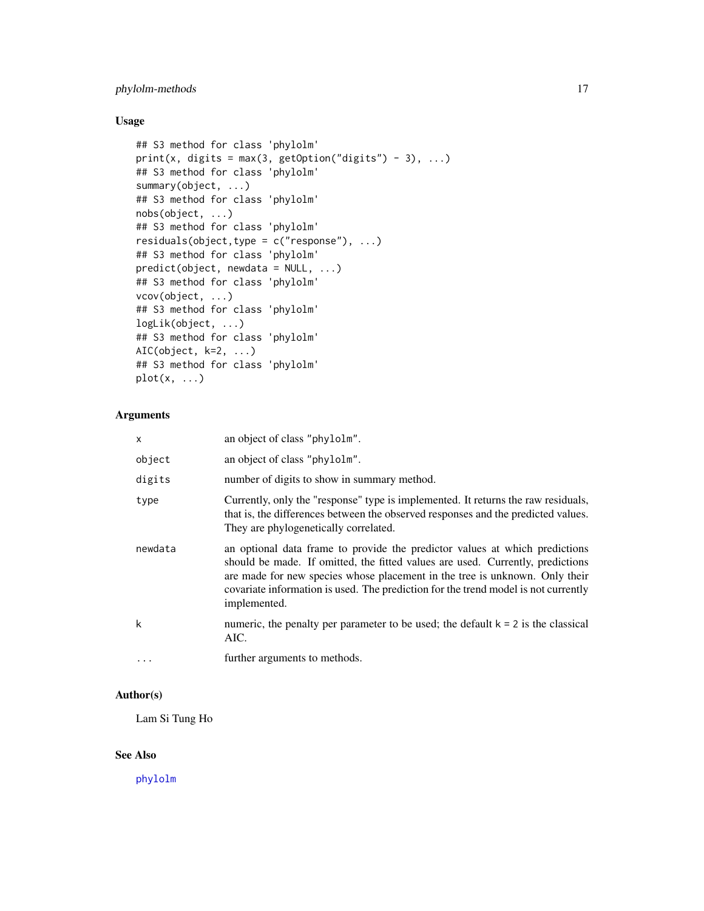#### <span id="page-16-0"></span>phylolm-methods 17

#### Usage

```
## S3 method for class 'phylolm'
print(x, \text{ digits} = max(3, \text{ getOption("digits") - 3), ...)## S3 method for class 'phylolm'
summary(object, ...)
## S3 method for class 'phylolm'
nobs(object, ...)
## S3 method for class 'phylolm'
residuals(object,type = c("response"), ...)
## S3 method for class 'phylolm'
predict(object, newdata = NULL, ...)
## S3 method for class 'phylolm'
vcov(object, ...)
## S3 method for class 'phylolm'
logLik(object, ...)
## S3 method for class 'phylolm'
AIC(object, k=2, ...)
## S3 method for class 'phylolm'
plot(x, \ldots)
```
#### Arguments

| x        | an object of class "phylolm".                                                                                                                                                                                                                                                                                                                      |
|----------|----------------------------------------------------------------------------------------------------------------------------------------------------------------------------------------------------------------------------------------------------------------------------------------------------------------------------------------------------|
| object   | an object of class "phylolm".                                                                                                                                                                                                                                                                                                                      |
| digits   | number of digits to show in summary method.                                                                                                                                                                                                                                                                                                        |
| type     | Currently, only the "response" type is implemented. It returns the raw residuals,<br>that is, the differences between the observed responses and the predicted values.<br>They are phylogenetically correlated.                                                                                                                                    |
| newdata  | an optional data frame to provide the predictor values at which predictions<br>should be made. If omitted, the fitted values are used. Currently, predictions<br>are made for new species whose placement in the tree is unknown. Only their<br>covariate information is used. The prediction for the trend model is not currently<br>implemented. |
| k        | numeric, the penalty per parameter to be used; the default $k = 2$ is the classical<br>AIC.                                                                                                                                                                                                                                                        |
| $\cdots$ | further arguments to methods.                                                                                                                                                                                                                                                                                                                      |

#### Author(s)

Lam Si Tung Ho

#### See Also

[phylolm](#page-12-1)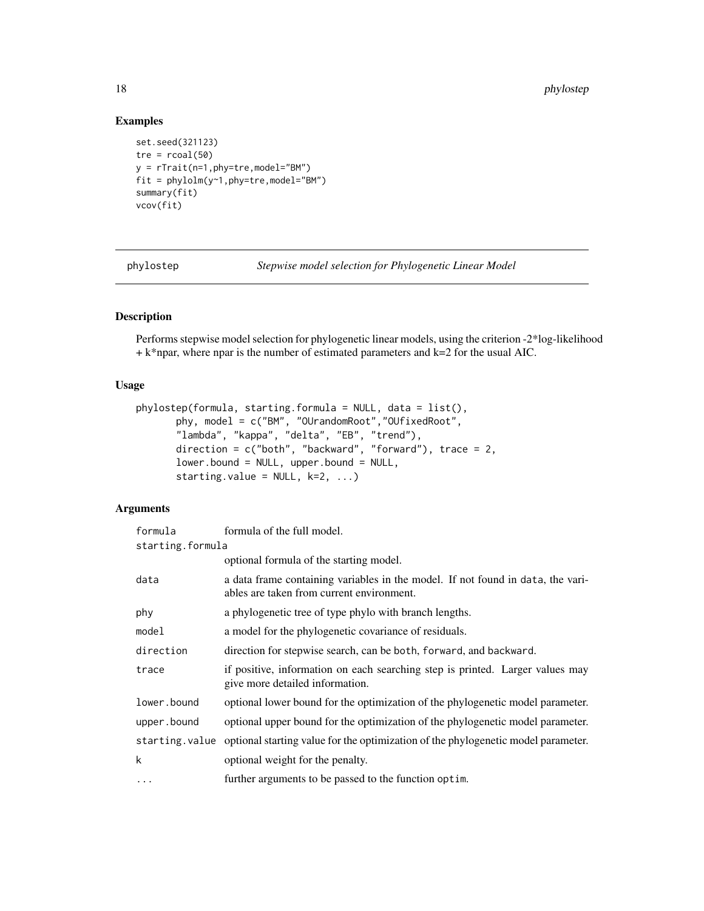#### Examples

```
set.seed(321123)
tre = rcoal(50)y = rTrait(n=1,phy=tre,model="BM")
fit = phylolm(y~1,phy=tre,model="BM")
summary(fit)
vcov(fit)
```
phylostep *Stepwise model selection for Phylogenetic Linear Model*

#### Description

Performs stepwise model selection for phylogenetic linear models, using the criterion -2\*log-likelihood  $+ k*$ npar, where npar is the number of estimated parameters and  $k=2$  for the usual AIC.

#### Usage

```
phylostep(formula, starting.formula = NULL, data = list(),
       phy, model = c("BM", "OUrandomRoot","OUfixedRoot",
       "lambda", "kappa", "delta", "EB", "trend"),
      direction = c("both", "backward", "forward"), trace = 2,
       lower.bound = NULL, upper.bound = NULL,starting.value = NULL, k=2, ...)
```
#### Arguments

| formula          | formula of the full model.                                                                                                   |
|------------------|------------------------------------------------------------------------------------------------------------------------------|
| starting.formula |                                                                                                                              |
|                  | optional formula of the starting model.                                                                                      |
| data             | a data frame containing variables in the model. If not found in data, the vari-<br>ables are taken from current environment. |
| phy              | a phylogenetic tree of type phylo with branch lengths.                                                                       |
| model            | a model for the phylogenetic covariance of residuals.                                                                        |
| direction        | direction for stepwise search, can be both, forward, and backward.                                                           |
| trace            | if positive, information on each searching step is printed. Larger values may<br>give more detailed information.             |
| lower.bound      | optional lower bound for the optimization of the phylogenetic model parameter.                                               |
| upper.bound      | optional upper bound for the optimization of the phylogenetic model parameter.                                               |
|                  | starting value optional starting value for the optimization of the phylogenetic model parameter.                             |
| k                | optional weight for the penalty.                                                                                             |
| $\ddots$         | further arguments to be passed to the function optim.                                                                        |

<span id="page-17-0"></span>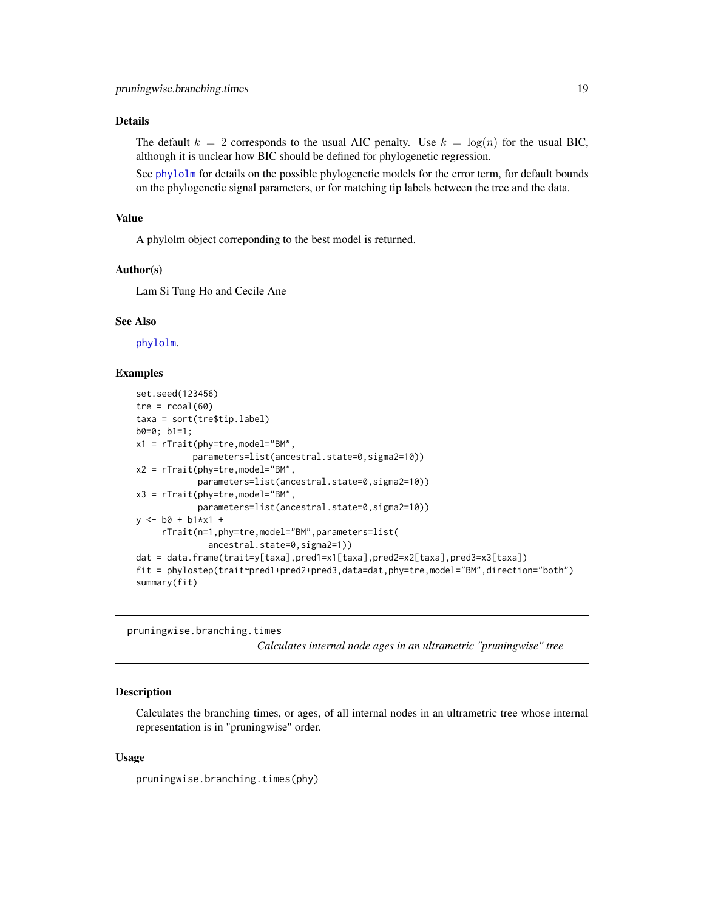#### <span id="page-18-0"></span>Details

The default  $k = 2$  corresponds to the usual AIC penalty. Use  $k = \log(n)$  for the usual BIC, although it is unclear how BIC should be defined for phylogenetic regression.

See [phylolm](#page-12-1) for details on the possible phylogenetic models for the error term, for default bounds on the phylogenetic signal parameters, or for matching tip labels between the tree and the data.

#### Value

A phylolm object correponding to the best model is returned.

#### Author(s)

Lam Si Tung Ho and Cecile Ane

#### See Also

[phylolm](#page-12-1).

#### Examples

```
set.seed(123456)
tre = rcoal(60)taxa = sort(tre$tip.label)
b0=0; b1=1;
x1 = rTrait(phy=tre,model="BM",
           parameters=list(ancestral.state=0,sigma2=10))
x2 = rTrait(phy=tre,model="BM",
            parameters=list(ancestral.state=0,sigma2=10))
x3 = rTrait(phy=tre,model="BM",
            parameters=list(ancestral.state=0,sigma2=10))
y \le -b0 + b1*x1 +rTrait(n=1,phy=tre,model="BM",parameters=list(
              ancestral.state=0,sigma2=1))
dat = data.frame(trait=y[taxa],pred1=x1[taxa],pred2=x2[taxa],pred3=x3[taxa])
fit = phylostep(trait~pred1+pred2+pred3,data=dat,phy=tre,model="BM",direction="both")
summary(fit)
```
<span id="page-18-1"></span>pruningwise.branching.times *Calculates internal node ages in an ultrametric "pruningwise" tree*

#### Description

Calculates the branching times, or ages, of all internal nodes in an ultrametric tree whose internal representation is in "pruningwise" order.

#### Usage

pruningwise.branching.times(phy)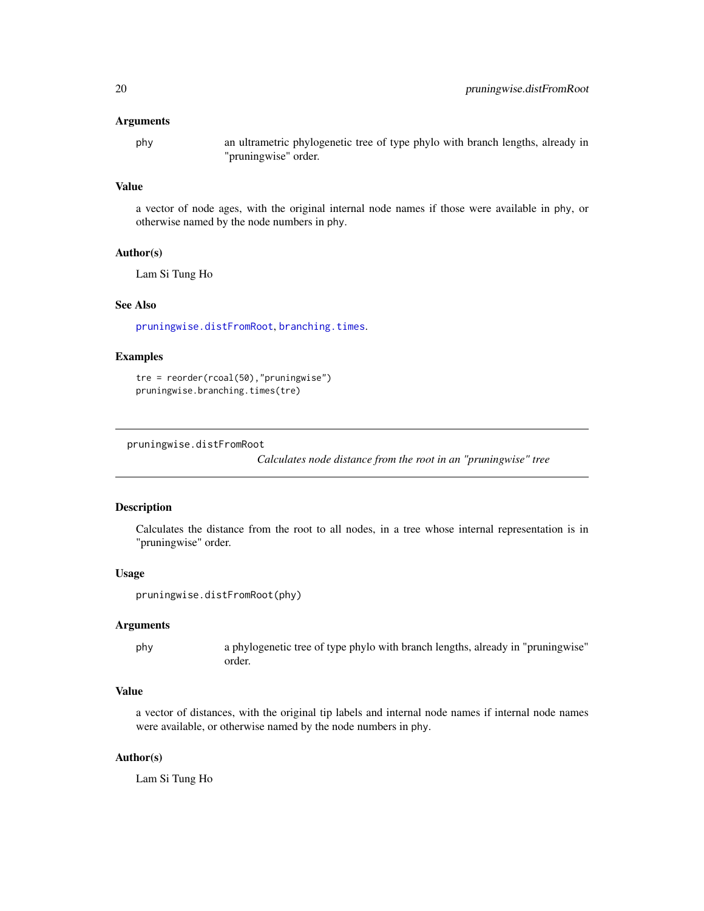#### <span id="page-19-0"></span>Arguments

phy an ultrametric phylogenetic tree of type phylo with branch lengths, already in "pruningwise" order.

#### Value

a vector of node ages, with the original internal node names if those were available in phy, or otherwise named by the node numbers in phy.

#### Author(s)

Lam Si Tung Ho

#### See Also

[pruningwise.distFromRoot](#page-19-1), [branching.times](#page-0-0).

#### Examples

tre = reorder(rcoal(50),"pruningwise") pruningwise.branching.times(tre)

<span id="page-19-1"></span>pruningwise.distFromRoot

*Calculates node distance from the root in an "pruningwise" tree*

#### Description

Calculates the distance from the root to all nodes, in a tree whose internal representation is in "pruningwise" order.

#### Usage

```
pruningwise.distFromRoot(phy)
```
#### Arguments

phy a phylogenetic tree of type phylo with branch lengths, already in "pruningwise" order.

#### Value

a vector of distances, with the original tip labels and internal node names if internal node names were available, or otherwise named by the node numbers in phy.

#### Author(s)

Lam Si Tung Ho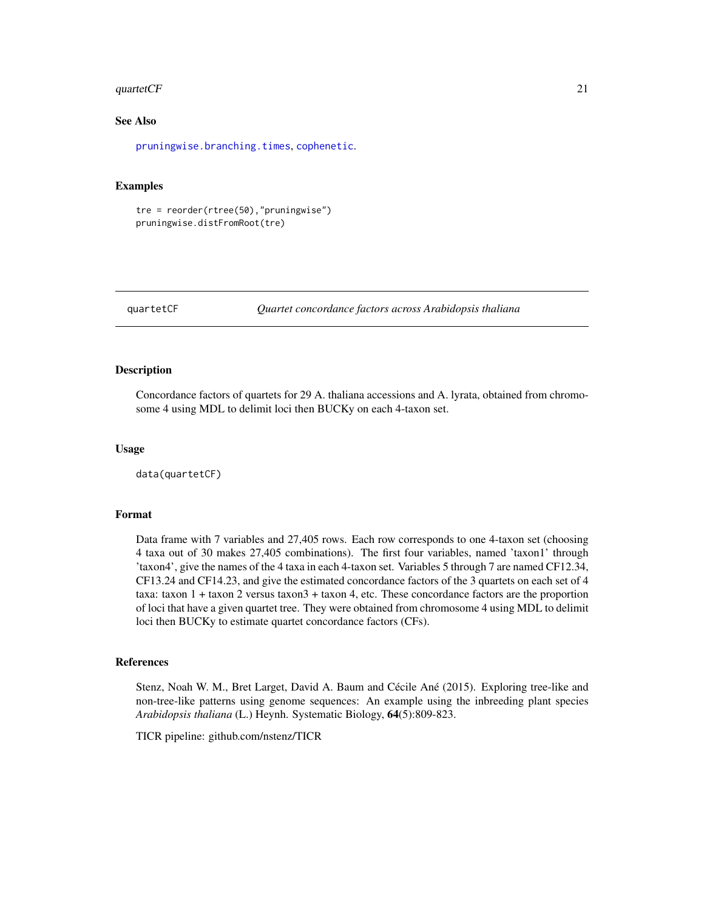#### <span id="page-20-0"></span>quartet $CF$  21

#### See Also

[pruningwise.branching.times](#page-18-1), [cophenetic](#page-0-0).

#### Examples

```
tre = reorder(rtree(50),"pruningwise")
pruningwise.distFromRoot(tre)
```
quartetCF *Quartet concordance factors across Arabidopsis thaliana*

#### Description

Concordance factors of quartets for 29 A. thaliana accessions and A. lyrata, obtained from chromosome 4 using MDL to delimit loci then BUCKy on each 4-taxon set.

#### Usage

data(quartetCF)

#### Format

Data frame with 7 variables and 27,405 rows. Each row corresponds to one 4-taxon set (choosing 4 taxa out of 30 makes 27,405 combinations). The first four variables, named 'taxon1' through 'taxon4', give the names of the 4 taxa in each 4-taxon set. Variables 5 through 7 are named CF12.34, CF13.24 and CF14.23, and give the estimated concordance factors of the 3 quartets on each set of 4 taxa: taxon 1 + taxon 2 versus taxon3 + taxon 4, etc. These concordance factors are the proportion of loci that have a given quartet tree. They were obtained from chromosome 4 using MDL to delimit loci then BUCKy to estimate quartet concordance factors (CFs).

#### References

Stenz, Noah W. M., Bret Larget, David A. Baum and Cécile Ané (2015). Exploring tree-like and non-tree-like patterns using genome sequences: An example using the inbreeding plant species *Arabidopsis thaliana* (L.) Heynh. Systematic Biology, 64(5):809-823.

TICR pipeline: github.com/nstenz/TICR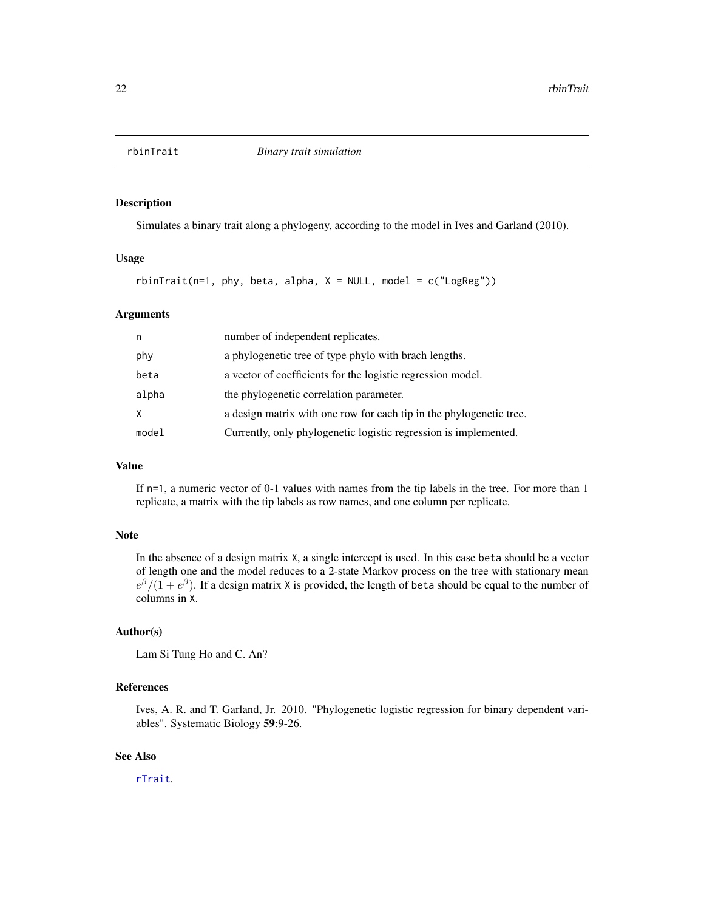<span id="page-21-0"></span>

#### Description

Simulates a binary trait along a phylogeny, according to the model in Ives and Garland (2010).

#### Usage

 $rbinTrain(i=1, phy, beta, alpha, X = NULL, model = c("LogReg"))$ 

#### Arguments

| n     | number of independent replicates.                                   |
|-------|---------------------------------------------------------------------|
| phy   | a phylogenetic tree of type phylo with brach lengths.               |
| beta  | a vector of coefficients for the logistic regression model.         |
| alpha | the phylogenetic correlation parameter.                             |
| X     | a design matrix with one row for each tip in the phylogenetic tree. |
| model | Currently, only phylogenetic logistic regression is implemented.    |

#### Value

If n=1, a numeric vector of 0-1 values with names from the tip labels in the tree. For more than 1 replicate, a matrix with the tip labels as row names, and one column per replicate.

#### Note

In the absence of a design matrix X, a single intercept is used. In this case beta should be a vector of length one and the model reduces to a 2-state Markov process on the tree with stationary mean  $e^{\beta}/(1+e^{\beta})$ . If a design matrix X is provided, the length of beta should be equal to the number of columns in X.

#### Author(s)

Lam Si Tung Ho and C. An?

#### References

Ives, A. R. and T. Garland, Jr. 2010. "Phylogenetic logistic regression for binary dependent variables". Systematic Biology 59:9-26.

#### See Also

[rTrait](#page-22-1).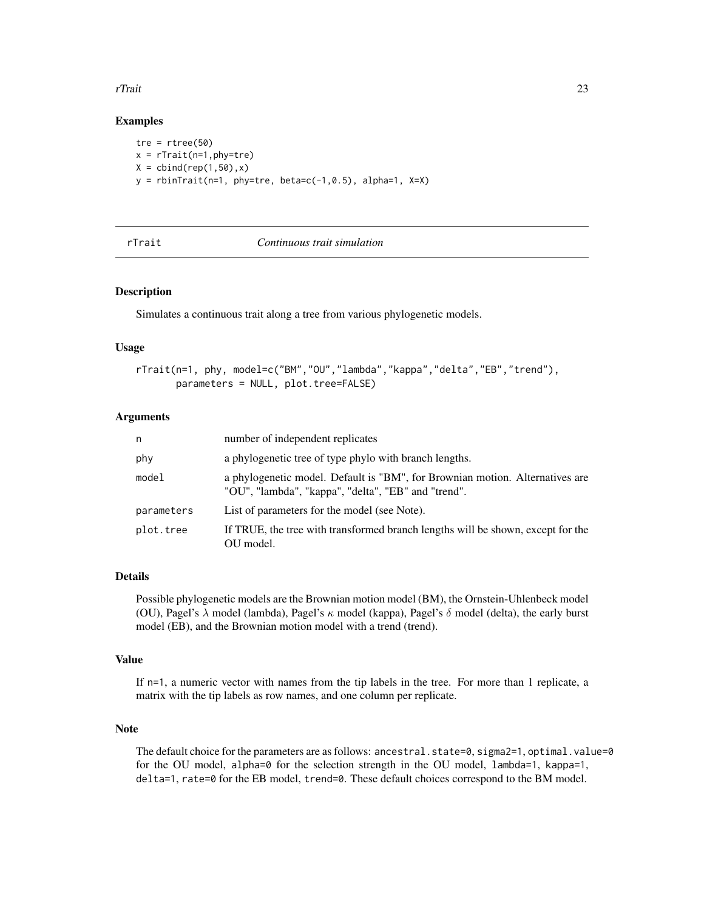#### <span id="page-22-0"></span>rTrait 23

#### Examples

tre =  $rtree(50)$  $x = rTrain(n=1, phy=tre)$  $X = \text{cbind}(\text{rep}(1, 50), x)$  $y =$  rbinTrait(n=1, phy=tre, beta=c(-1,0.5), alpha=1, X=X)

<span id="page-22-1"></span>

#### *Continuous trait simulation*

#### Description

Simulates a continuous trait along a tree from various phylogenetic models.

#### Usage

```
rTrait(n=1, phy, model=c("BM","OU","lambda","kappa","delta","EB","trend"),
       parameters = NULL, plot.tree=FALSE)
```
#### Arguments

| n          | number of independent replicates                                                                                                    |
|------------|-------------------------------------------------------------------------------------------------------------------------------------|
| phy        | a phylogenetic tree of type phylo with branch lengths.                                                                              |
| model      | a phylogenetic model. Default is "BM", for Brownian motion. Alternatives are<br>"OU", "lambda", "kappa", "delta", "EB" and "trend". |
| parameters | List of parameters for the model (see Note).                                                                                        |
| plot.tree  | If TRUE, the tree with transformed branch lengths will be shown, except for the<br>OU model.                                        |

#### Details

Possible phylogenetic models are the Brownian motion model (BM), the Ornstein-Uhlenbeck model (OU), Pagel's  $\lambda$  model (lambda), Pagel's  $\kappa$  model (kappa), Pagel's  $\delta$  model (delta), the early burst model (EB), and the Brownian motion model with a trend (trend).

#### Value

If n=1, a numeric vector with names from the tip labels in the tree. For more than 1 replicate, a matrix with the tip labels as row names, and one column per replicate.

#### Note

The default choice for the parameters are as follows: ancestral.state=0, sigma2=1, optimal.value=0 for the OU model, alpha=0 for the selection strength in the OU model, lambda=1, kappa=1, delta=1, rate=0 for the EB model, trend=0. These default choices correspond to the BM model.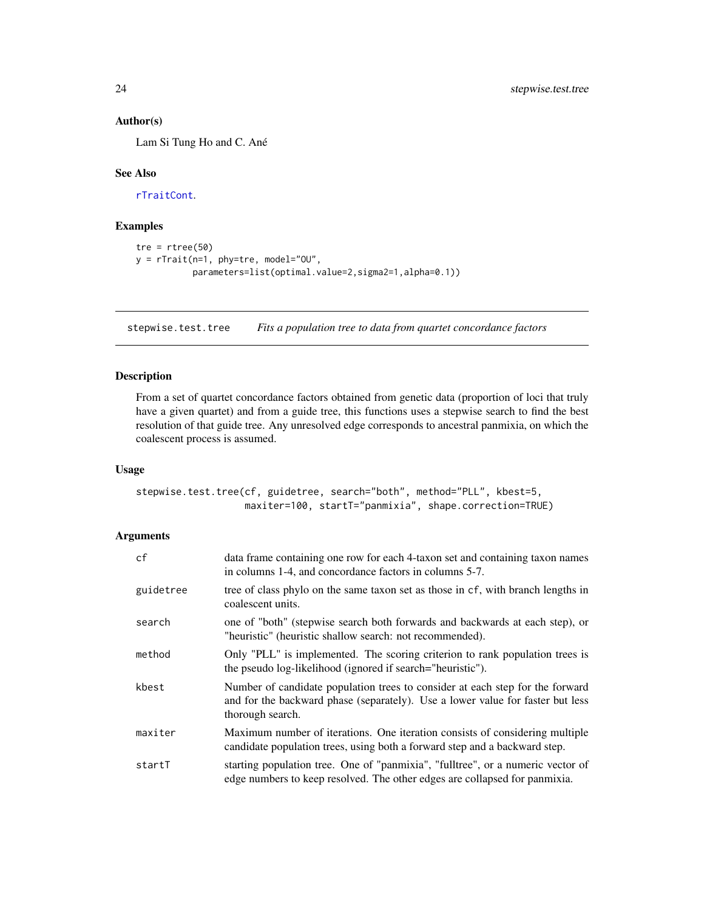#### Author(s)

Lam Si Tung Ho and C. Ané

#### See Also

[rTraitCont](#page-0-0).

#### Examples

```
tre = rtree(50)
y = rTrait(n=1, phy=tre, model="OU",
           parameters=list(optimal.value=2,sigma2=1,alpha=0.1))
```
<span id="page-23-1"></span>stepwise.test.tree *Fits a population tree to data from quartet concordance factors*

#### Description

From a set of quartet concordance factors obtained from genetic data (proportion of loci that truly have a given quartet) and from a guide tree, this functions uses a stepwise search to find the best resolution of that guide tree. Any unresolved edge corresponds to ancestral panmixia, on which the coalescent process is assumed.

#### Usage

```
stepwise.test.tree(cf, guidetree, search="both", method="PLL", kbest=5,
                  maxiter=100, startT="panmixia", shape.correction=TRUE)
```
#### Arguments

| cf        | data frame containing one row for each 4-taxon set and containing taxon names<br>in columns 1-4, and concordance factors in columns 5-7.                                            |
|-----------|-------------------------------------------------------------------------------------------------------------------------------------------------------------------------------------|
| guidetree | tree of class phylo on the same taxon set as those in cf, with branch lengths in<br>coalescent units.                                                                               |
| search    | one of "both" (stepwise search both forwards and backwards at each step), or<br>"heuristic" (heuristic shallow search: not recommended).                                            |
| method    | Only "PLL" is implemented. The scoring criterion to rank population trees is<br>the pseudo log-likelihood (ignored if search="heuristic").                                          |
| kbest     | Number of candidate population trees to consider at each step for the forward<br>and for the backward phase (separately). Use a lower value for faster but less<br>thorough search. |
| maxiter   | Maximum number of iterations. One iteration consists of considering multiple<br>candidate population trees, using both a forward step and a backward step.                          |
| startT    | starting population tree. One of "panmixia", "fulltree", or a numeric vector of<br>edge numbers to keep resolved. The other edges are collapsed for panmixia.                       |

<span id="page-23-0"></span>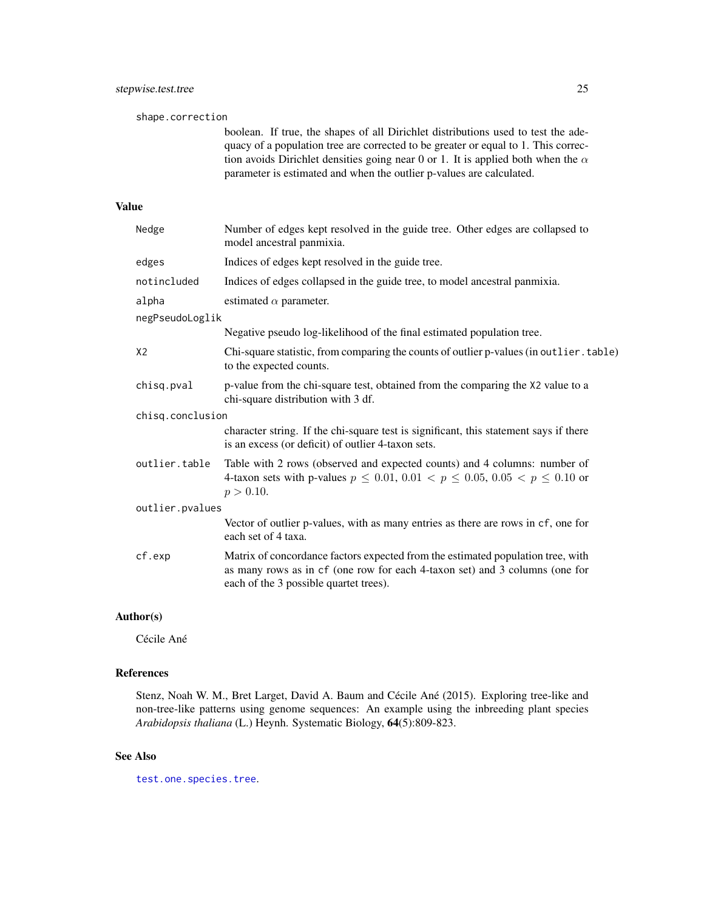<span id="page-24-0"></span>shape.correction boolean. If true, the shapes of all Dirichlet distributions used to test the adequacy of a population tree are corrected to be greater or equal to 1. This correction avoids Dirichlet densities going near 0 or 1. It is applied both when the  $\alpha$ parameter is estimated and when the outlier p-values are calculated. Value Nedge Number of edges kept resolved in the guide tree. Other edges are collapsed to model ancestral panmixia. edges Indices of edges kept resolved in the guide tree. notincluded Indices of edges collapsed in the guide tree, to model ancestral panmixia. alpha estimated  $\alpha$  parameter. negPseudoLoglik Negative pseudo log-likelihood of the final estimated population tree. X2 Chi-square statistic, from comparing the counts of outlier p-values (in outlier.table) to the expected counts. chisq.pval p-value from the chi-square test, obtained from the comparing the X2 value to a chi-square distribution with 3 df. chisq.conclusion character string. If the chi-square test is significant, this statement says if there is an excess (or deficit) of outlier 4-taxon sets. outlier.table Table with 2 rows (observed and expected counts) and 4 columns: number of 4-taxon sets with p-values  $p \le 0.01, 0.01 < p \le 0.05, 0.05 < p \le 0.10$  or  $p > 0.10$ . outlier.pvalues Vector of outlier p-values, with as many entries as there are rows in cf, one for each set of 4 taxa. cf.exp Matrix of concordance factors expected from the estimated population tree, with as many rows as in cf (one row for each 4-taxon set) and 3 columns (one for each of the 3 possible quartet trees).

#### Author(s)

Cécile Ané

#### References

Stenz, Noah W. M., Bret Larget, David A. Baum and Cécile Ané (2015). Exploring tree-like and non-tree-like patterns using genome sequences: An example using the inbreeding plant species *Arabidopsis thaliana* (L.) Heynh. Systematic Biology, 64(5):809-823.

#### See Also

[test.one.species.tree](#page-25-1).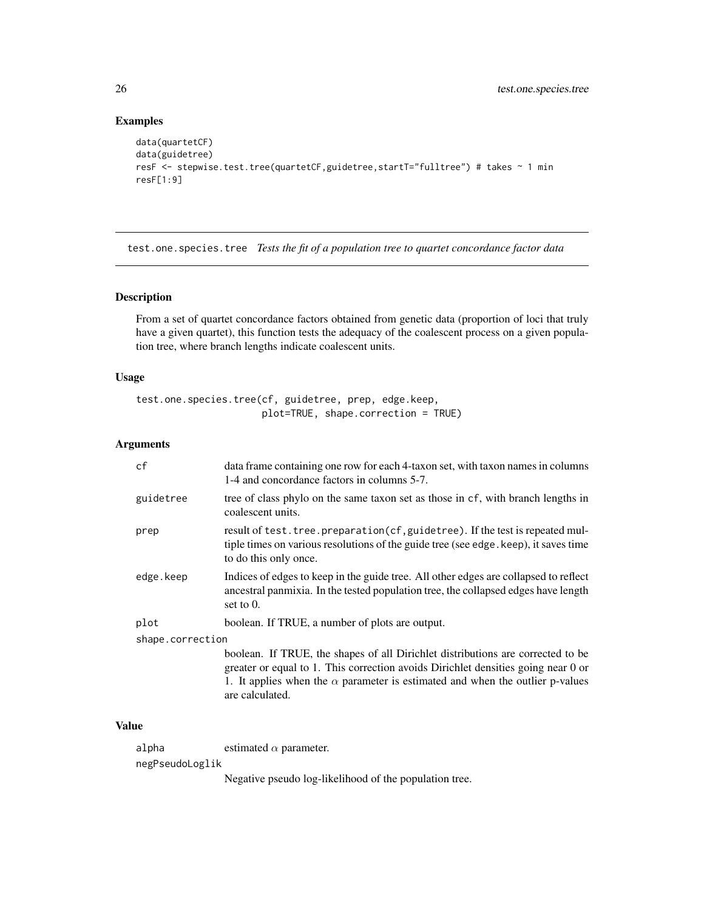#### Examples

```
data(quartetCF)
data(guidetree)
resF <- stepwise.test.tree(quartetCF,guidetree,startT="fulltree") # takes ~ 1 min
resF[1:9]
```
<span id="page-25-1"></span>test.one.species.tree *Tests the fit of a population tree to quartet concordance factor data*

#### Description

From a set of quartet concordance factors obtained from genetic data (proportion of loci that truly have a given quartet), this function tests the adequacy of the coalescent process on a given population tree, where branch lengths indicate coalescent units.

#### Usage

```
test.one.species.tree(cf, guidetree, prep, edge.keep,
                      plot=TRUE, shape.correction = TRUE)
```
#### Arguments

| cf               | data frame containing one row for each 4-taxon set, with taxon names in columns<br>1-4 and concordance factors in columns 5-7.                                                                                                                                                  |
|------------------|---------------------------------------------------------------------------------------------------------------------------------------------------------------------------------------------------------------------------------------------------------------------------------|
| guidetree        | tree of class phylo on the same taxon set as those in cf, with branch lengths in<br>coalescent units.                                                                                                                                                                           |
| prep             | result of test. tree. preparation(cf, guidetree). If the test is repeated mul-<br>tiple times on various resolutions of the guide tree (see edge, keep), it saves time<br>to do this only once.                                                                                 |
| edge.keep        | Indices of edges to keep in the guide tree. All other edges are collapsed to reflect<br>ancestral panmixia. In the tested population tree, the collapsed edges have length<br>set to $0$ .                                                                                      |
| plot             | boolean. If TRUE, a number of plots are output.                                                                                                                                                                                                                                 |
| shape.correction |                                                                                                                                                                                                                                                                                 |
|                  | boolean. If TRUE, the shapes of all Dirichlet distributions are corrected to be<br>greater or equal to 1. This correction avoids Dirichlet densities going near 0 or<br>1. It applies when the $\alpha$ parameter is estimated and when the outlier p-values<br>are calculated. |

#### Value

alpha estimated  $\alpha$  parameter.

negPseudoLoglik

Negative pseudo log-likelihood of the population tree.

<span id="page-25-0"></span>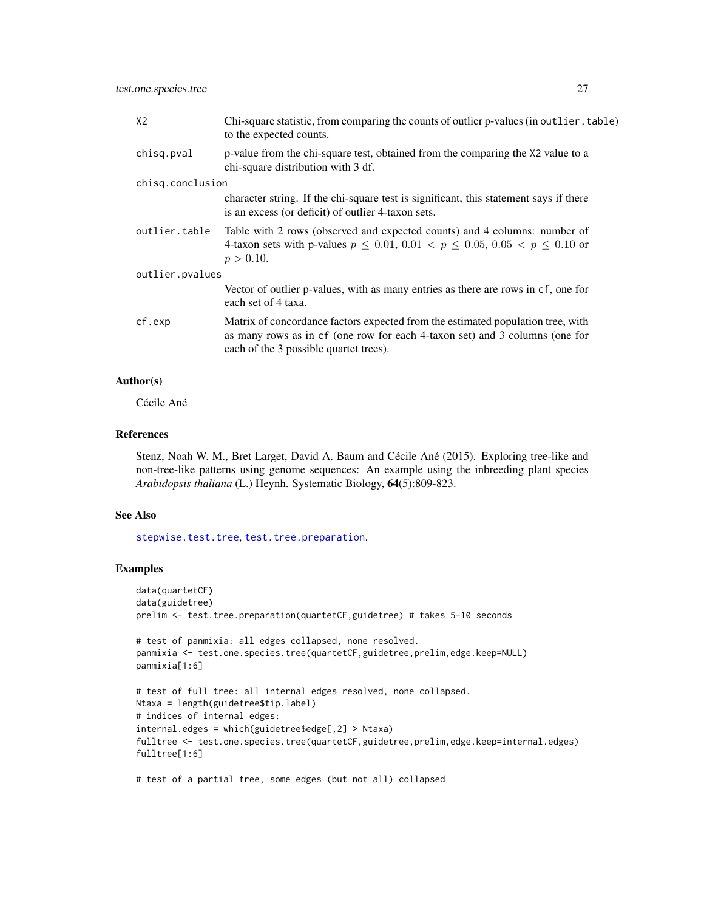<span id="page-26-0"></span>

| X <sub>2</sub>   | Chi-square statistic, from comparing the counts of outlier p-values (in outlier, table)<br>to the expected counts.                                                                                       |  |
|------------------|----------------------------------------------------------------------------------------------------------------------------------------------------------------------------------------------------------|--|
| chisq.pval       | p-value from the chi-square test, obtained from the comparing the X2 value to a<br>chi-square distribution with 3 df.                                                                                    |  |
| chisq.conclusion |                                                                                                                                                                                                          |  |
|                  | character string. If the chi-square test is significant, this statement says if there<br>is an excess (or deficit) of outlier 4-taxon sets.                                                              |  |
| outlier.table    | Table with 2 rows (observed and expected counts) and 4 columns: number of<br>4-taxon sets with p-values $p \le 0.01$ , $0.01 < p \le 0.05$ , $0.05 < p \le 0.10$ or<br>$p > 0.10$ .                      |  |
| outlier.pvalues  |                                                                                                                                                                                                          |  |
|                  | Vector of outlier p-values, with as many entries as there are rows in cf, one for<br>each set of 4 taxa.                                                                                                 |  |
| cf.exp           | Matrix of concordance factors expected from the estimated population tree, with<br>as many rows as in cf (one row for each 4-taxon set) and 3 columns (one for<br>each of the 3 possible quartet trees). |  |

#### Author(s)

Cécile Ané

#### References

Stenz, Noah W. M., Bret Larget, David A. Baum and Cécile Ané (2015). Exploring tree-like and non-tree-like patterns using genome sequences: An example using the inbreeding plant species *Arabidopsis thaliana* (L.) Heynh. Systematic Biology, 64(5):809-823.

#### See Also

[stepwise.test.tree](#page-23-1), [test.tree.preparation](#page-27-1).

#### Examples

```
data(quartetCF)
data(guidetree)
prelim <- test.tree.preparation(quartetCF,guidetree) # takes 5-10 seconds
# test of panmixia: all edges collapsed, none resolved.
panmixia <- test.one.species.tree(quartetCF,guidetree,prelim,edge.keep=NULL)
panmixia[1:6]
# test of full tree: all internal edges resolved, none collapsed.
Ntaxa = length(guidetree$tip.label)
# indices of internal edges:
internal.edges = which(guidetree$edge[,2] > Ntaxa)
fulltree <- test.one.species.tree(quartetCF,guidetree,prelim,edge.keep=internal.edges)
fulltree[1:6]
# test of a partial tree, some edges (but not all) collapsed
```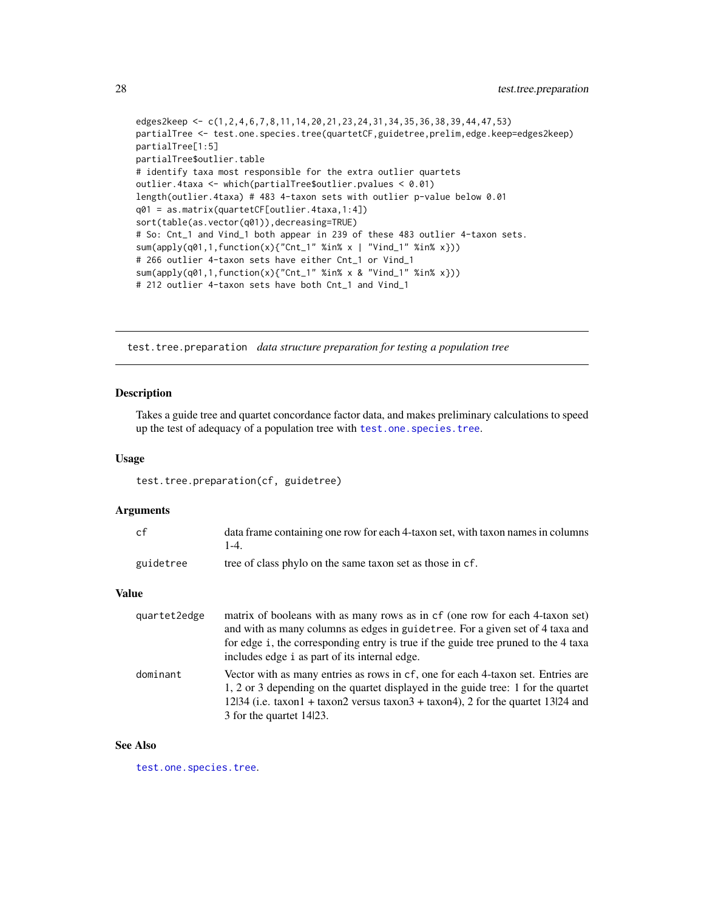```
edges2keep <- c(1,2,4,6,7,8,11,14,20,21,23,24,31,34,35,36,38,39,44,47,53)
partialTree <- test.one.species.tree(quartetCF,guidetree,prelim,edge.keep=edges2keep)
partialTree[1:5]
partialTree$outlier.table
# identify taxa most responsible for the extra outlier quartets
outlier.4taxa <- which(partialTree$outlier.pvalues < 0.01)
length(outlier.4taxa) # 483 4-taxon sets with outlier p-value below 0.01
q01 = as.matrix(quartetCF[outlier.4taxa,1:4])
sort(table(as.vector(q01)),decreasing=TRUE)
# So: Cnt_1 and Vind_1 both appear in 239 of these 483 outlier 4-taxon sets.
sum(apply(q01,1,function(x){"Cnt_1" %in% x | "Vind_1" %in% x}))
# 266 outlier 4-taxon sets have either Cnt_1 or Vind_1
sum(apply(q01,1,function(x){"Cnt_1" %in% x & "Vind_1" %in% x}))
# 212 outlier 4-taxon sets have both Cnt_1 and Vind_1
```
<span id="page-27-1"></span>test.tree.preparation *data structure preparation for testing a population tree*

#### Description

Takes a guide tree and quartet concordance factor data, and makes preliminary calculations to speed up the test of adequacy of a population tree with [test.one.species.tree](#page-25-1).

#### Usage

test.tree.preparation(cf, guidetree)

#### Arguments

| сf        | data frame containing one row for each 4-taxon set, with taxon names in columns<br>1-4 |
|-----------|----------------------------------------------------------------------------------------|
| guidetree | tree of class phylo on the same taxon set as those in cf.                              |

#### Value

| quartet2edge | matrix of booleans with as many rows as in cf (one row for each 4-taxon set)<br>and with as many columns as edges in guidetree. For a given set of 4 taxa and<br>for edge i, the corresponding entry is true if the guide tree pruned to the 4 taxa<br>includes edge i as part of its internal edge. |
|--------------|------------------------------------------------------------------------------------------------------------------------------------------------------------------------------------------------------------------------------------------------------------------------------------------------------|
| dominant     | Vector with as many entries as rows in cf, one for each 4-taxon set. Entries are<br>1, 2 or 3 depending on the quartet displayed in the guide tree: 1 for the quartet<br>$12\vert 34$ (i.e. taxon 1 + taxon 2 versus taxon 3 + taxon 4), 2 for the quartet 13   24 and<br>3 for the quartet 1423.    |

#### See Also

[test.one.species.tree](#page-25-1).

<span id="page-27-0"></span>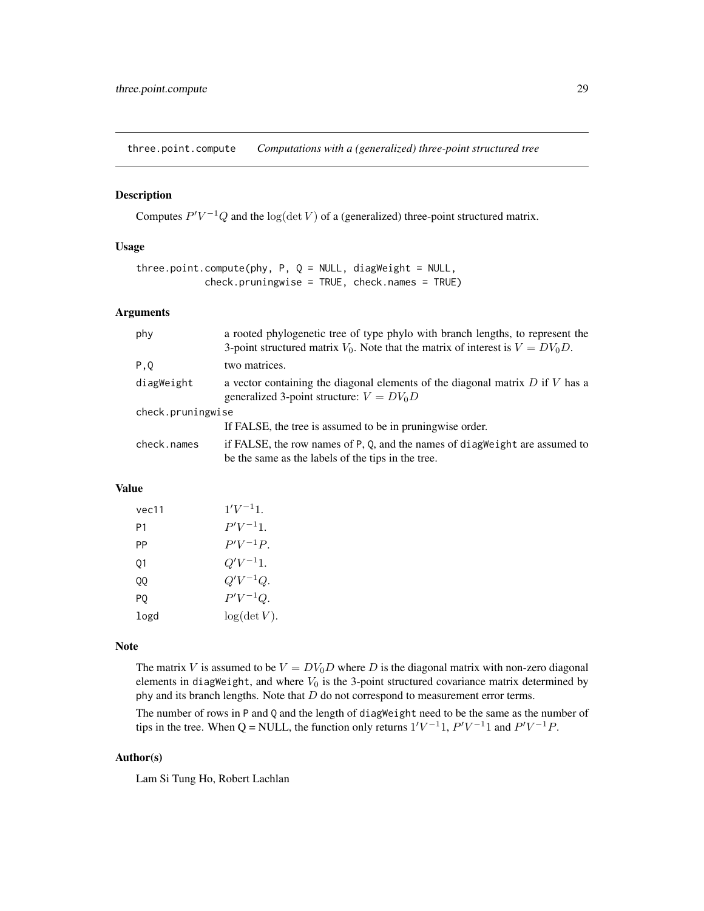<span id="page-28-1"></span><span id="page-28-0"></span>three.point.compute *Computations with a (generalized) three-point structured tree*

#### Description

Computes  $P'V^{-1}Q$  and the log(det V) of a (generalized) three-point structured matrix.

#### Usage

```
three.point.compute(phy, P, Q = NULL, diagWeight = NULL,
            check.pruningwise = TRUE, check.names = TRUE)
```
#### Arguments

| phy               | a rooted phylogenetic tree of type phylo with branch lengths, to represent the<br>3-point structured matrix $V_0$ . Note that the matrix of interest is $V = DV_0D$ . |  |  |
|-------------------|-----------------------------------------------------------------------------------------------------------------------------------------------------------------------|--|--|
| P, Q              | two matrices.                                                                                                                                                         |  |  |
| diagWeight        | a vector containing the diagonal elements of the diagonal matrix $D$ if $V$ has a<br>generalized 3-point structure: $V = DV_0D$                                       |  |  |
| check.pruningwise |                                                                                                                                                                       |  |  |
|                   | If FALSE, the tree is assumed to be in pruningwise order.                                                                                                             |  |  |
| check.names       | if FALSE, the row names of P, Q, and the names of diagweight are assumed to<br>be the same as the labels of the tips in the tree.                                     |  |  |

#### Value

| vec11 | $1'V^{-1}1$ . |
|-------|---------------|
| Ρ1    | $P'V^{-1}1$ . |
| PP    | $P'V^{-1}P.$  |
| 01    | $Q'V^{-1}1.$  |
| QQ    | $Q'V^{-1}Q.$  |
| PQ    | $P'V^{-1}Q.$  |
| logd  | log(det V).   |

#### Note

The matrix V is assumed to be  $V = DV_0D$  where D is the diagonal matrix with non-zero diagonal elements in diagWeight, and where  $V_0$  is the 3-point structured covariance matrix determined by phy and its branch lengths. Note that  $D$  do not correspond to measurement error terms.

The number of rows in P and Q and the length of diagWeight need to be the same as the number of tips in the tree. When Q = NULL, the function only returns  $1'V^{-1}1$ ,  $P'V^{-1}1$  and  $P'V^{-1}P$ .

#### Author(s)

Lam Si Tung Ho, Robert Lachlan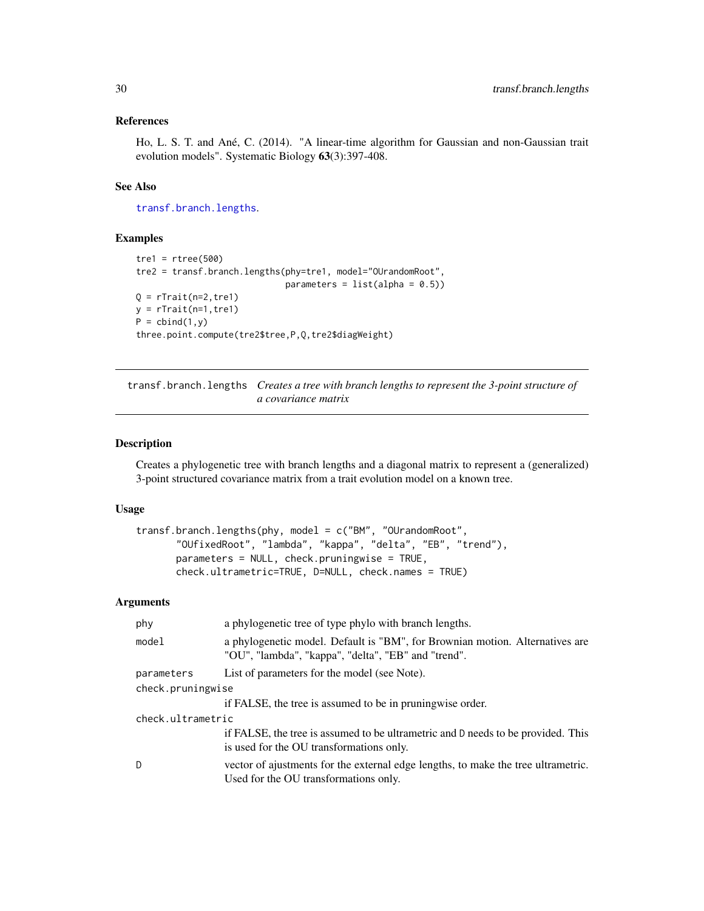#### <span id="page-29-0"></span>References

Ho, L. S. T. and Ané, C. (2014). "A linear-time algorithm for Gaussian and non-Gaussian trait evolution models". Systematic Biology 63(3):397-408.

#### See Also

[transf.branch.lengths](#page-29-1).

#### Examples

```
tre1 = rtree(500)tre2 = transf.branch.lengths(phy=tre1, model="OUrandomRoot",
                             parameters = list(alpha = 0.5)Q = rTrain(n=2, tre1)y = rTrain(n=1, tre1)P = \text{cbind}(1, y)three.point.compute(tre2$tree,P,Q,tre2$diagWeight)
```
<span id="page-29-1"></span>transf.branch.lengths *Creates a tree with branch lengths to represent the 3-point structure of a covariance matrix*

#### Description

Creates a phylogenetic tree with branch lengths and a diagonal matrix to represent a (generalized) 3-point structured covariance matrix from a trait evolution model on a known tree.

#### Usage

```
transf.branch.lengths(phy, model = c("BM", "OUrandomRoot",
       "OUfixedRoot", "lambda", "kappa", "delta", "EB", "trend"),
       parameters = NULL, check.pruningwise = TRUE,
       check.ultrametric=TRUE, D=NULL, check.names = TRUE)
```
#### Arguments

| phy               | a phylogenetic tree of type phylo with branch lengths.                                                                              |  |
|-------------------|-------------------------------------------------------------------------------------------------------------------------------------|--|
| model             | a phylogenetic model. Default is "BM", for Brownian motion. Alternatives are<br>"OU", "lambda", "kappa", "delta", "EB" and "trend". |  |
| parameters        | List of parameters for the model (see Note).                                                                                        |  |
| check.pruningwise |                                                                                                                                     |  |
|                   | if FALSE, the tree is assumed to be in pruningwise order.                                                                           |  |
| check.ultrametric |                                                                                                                                     |  |
|                   | if FALSE, the tree is assumed to be ultrametric and D needs to be provided. This<br>is used for the OU transformations only.        |  |
| D                 | vector of ajustments for the external edge lengths, to make the tree ultrametric.<br>Used for the OU transformations only.          |  |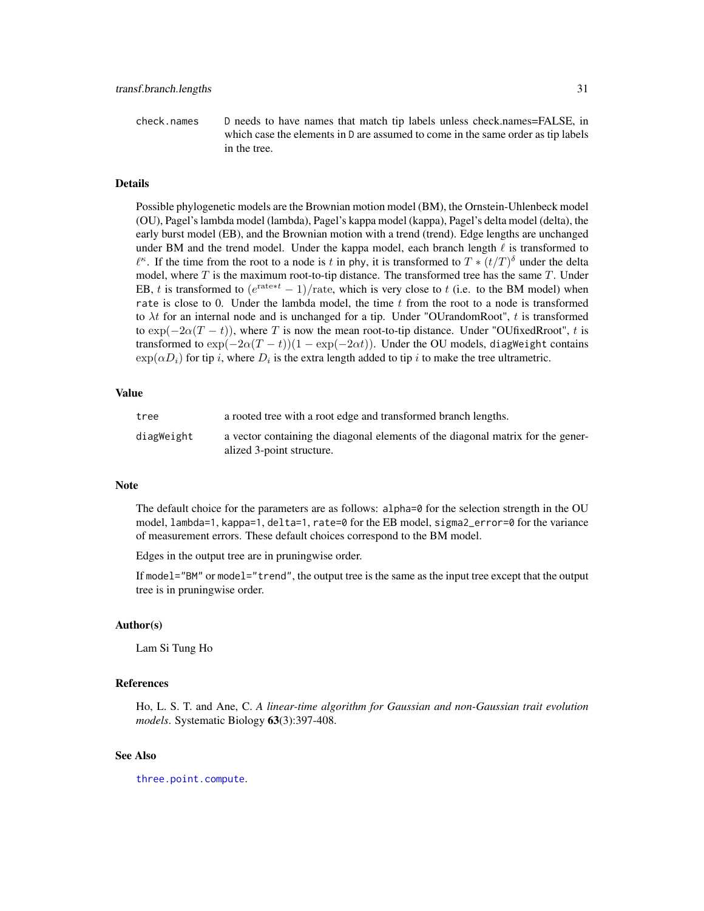<span id="page-30-0"></span>check.names D needs to have names that match tip labels unless check.names=FALSE, in which case the elements in D are assumed to come in the same order as tip labels in the tree.

#### Details

Possible phylogenetic models are the Brownian motion model (BM), the Ornstein-Uhlenbeck model (OU), Pagel's lambda model (lambda), Pagel's kappa model (kappa), Pagel's delta model (delta), the early burst model (EB), and the Brownian motion with a trend (trend). Edge lengths are unchanged under BM and the trend model. Under the kappa model, each branch length  $\ell$  is transformed to  $\ell^{\kappa}$ . If the time from the root to a node is t in phy, it is transformed to  $T * (t/T)^{\delta}$  under the delta model, where  $T$  is the maximum root-to-tip distance. The transformed tree has the same  $T$ . Under EB, t is transformed to  $(e^{rate*t} - 1) / \text{rate}$ , which is very close to t (i.e. to the BM model) when rate is close to 0. Under the lambda model, the time  $t$  from the root to a node is transformed to  $\lambda t$  for an internal node and is unchanged for a tip. Under "OUrandomRoot", t is transformed to  $\exp(-2\alpha(T-t))$ , where T is now the mean root-to-tip distance. Under "OUfixedRroot", t is transformed to  $\exp(-2\alpha(T-t))(1-\exp(-2\alpha t))$ . Under the OU models, diagweight contains  $\exp(\alpha D_i)$  for tip i, where  $D_i$  is the extra length added to tip i to make the tree ultrametric.

#### Value

| tree       | a rooted tree with a root edge and transformed branch lengths.                                               |
|------------|--------------------------------------------------------------------------------------------------------------|
| diagWeight | a vector containing the diagonal elements of the diagonal matrix for the gener-<br>alized 3-point structure. |

#### **Note**

The default choice for the parameters are as follows: alpha=0 for the selection strength in the OU model, lambda=1, kappa=1, delta=1, rate=0 for the EB model, sigma2\_error=0 for the variance of measurement errors. These default choices correspond to the BM model.

Edges in the output tree are in pruningwise order.

If model="BM" or model="trend", the output tree is the same as the input tree except that the output tree is in pruningwise order.

#### Author(s)

Lam Si Tung Ho

#### References

Ho, L. S. T. and Ane, C. *A linear-time algorithm for Gaussian and non-Gaussian trait evolution models*. Systematic Biology 63(3):397-408.

#### See Also

[three.point.compute](#page-28-1).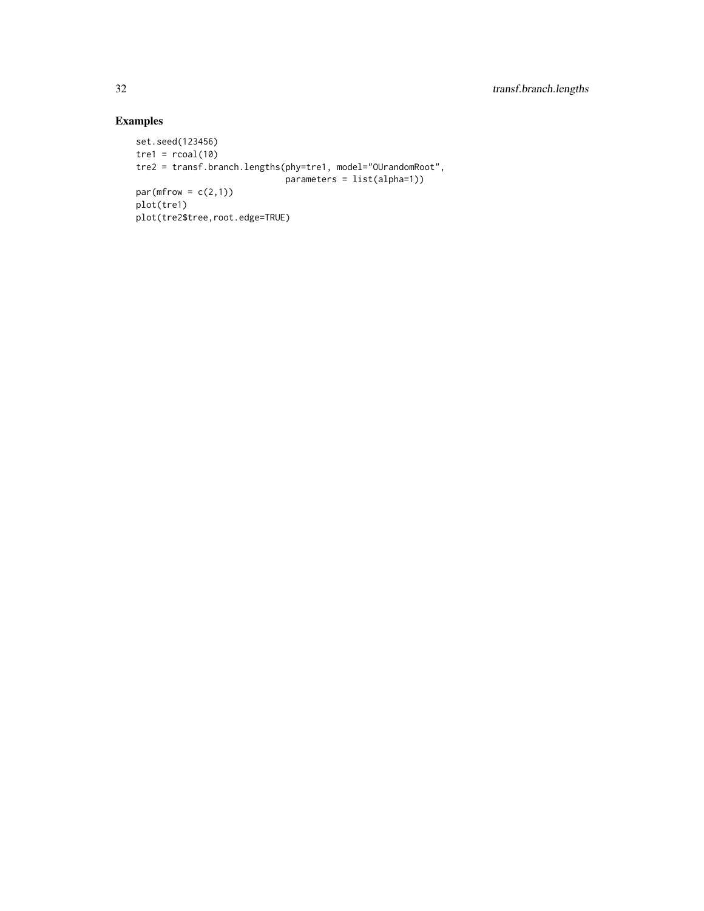### Examples

```
set.seed(123456)
tre1 = rcoal(10)tre2 = transf.branch.lengths(phy=tre1, model="OUrandomRoot",
                           parameters = list(alpha=1))
par(mfrow = c(2,1))plot(tre1)
plot(tre2$tree,root.edge=TRUE)
```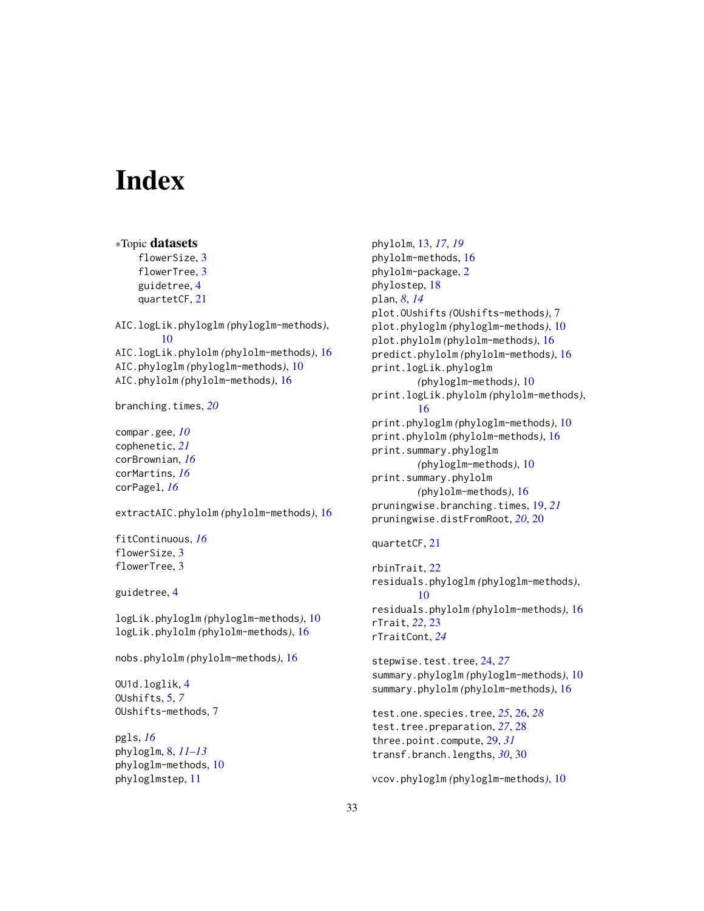# <span id="page-32-0"></span>**Index**

phyloglmstep, [11](#page-10-0)

```
∗Topic datasets
    flowerSize, 3
    flowerTree, 3
    guidetree, 4
    quartetCF, 21
AIC.logLik.phyloglm (phyloglm-methods),
        10
AIC.logLik.phylolm (phylolm-methods), 16
AIC.phyloglm (phyloglm-methods), 10
AIC.phylolm (phylolm-methods), 16
branching.times, 20
compar.gee, 10
cophenetic, 21
corBrownian, 16
corMartins, 16
corPagel, 16
extractAIC.phylolm (phylolm-methods), 16
fitContinuous, 16
flowerSize, 3
flowerTree, 3
guidetree, 4
logLik.phyloglm (phyloglm-methods), 10
logLik.phylolm (phylolm-methods), 16
nobs.phylolm (phylolm-methods), 16
OU1d.loglik, 4
OUshifts, 5, 7
OUshifts-methods, 7
pgls, 16
phyloglm, 8, 11–13
phyloglm-methods, 10
```
phylolm, [13,](#page-12-0) *[17](#page-16-0)*, *[19](#page-18-0)* phylolm-methods, [16](#page-15-0) phylolm-package, [2](#page-1-0) phylostep, [18](#page-17-0) plan, *[8](#page-7-0)*, *[14](#page-13-0)* plot.OUshifts *(*OUshifts-methods*)*, [7](#page-6-0) plot.phyloglm *(*phyloglm-methods*)*, [10](#page-9-0) plot.phylolm *(*phylolm-methods*)*, [16](#page-15-0) predict.phylolm *(*phylolm-methods*)*, [16](#page-15-0) print.logLik.phyloglm *(*phyloglm-methods*)*, [10](#page-9-0) print.logLik.phylolm *(*phylolm-methods*)*, [16](#page-15-0) print.phyloglm *(*phyloglm-methods*)*, [10](#page-9-0) print.phylolm *(*phylolm-methods*)*, [16](#page-15-0) print.summary.phyloglm *(*phyloglm-methods*)*, [10](#page-9-0) print.summary.phylolm *(*phylolm-methods*)*, [16](#page-15-0) pruningwise.branching.times, [19,](#page-18-0) *[21](#page-20-0)* pruningwise.distFromRoot, *[20](#page-19-0)*, [20](#page-19-0)

```
quartetCF, 21
```

```
rbinTrait, 22
residuals.phyloglm (phyloglm-methods),
        10
residuals.phylolm (phylolm-methods), 16
rTrait, 22, 23
rTraitCont, 24
```
stepwise.test.tree, [24,](#page-23-0) *[27](#page-26-0)* summary.phyloglm *(*phyloglm-methods*)*, [10](#page-9-0) summary.phylolm *(*phylolm-methods*)*, [16](#page-15-0)

test.one.species.tree, *[25](#page-24-0)*, [26,](#page-25-0) *[28](#page-27-0)* test.tree.preparation, *[27](#page-26-0)*, [28](#page-27-0) three.point.compute, [29,](#page-28-0) *[31](#page-30-0)* transf.branch.lengths, *[30](#page-29-0)*, [30](#page-29-0)

```
vcov.phyloglm (phyloglm-methods), 10
```